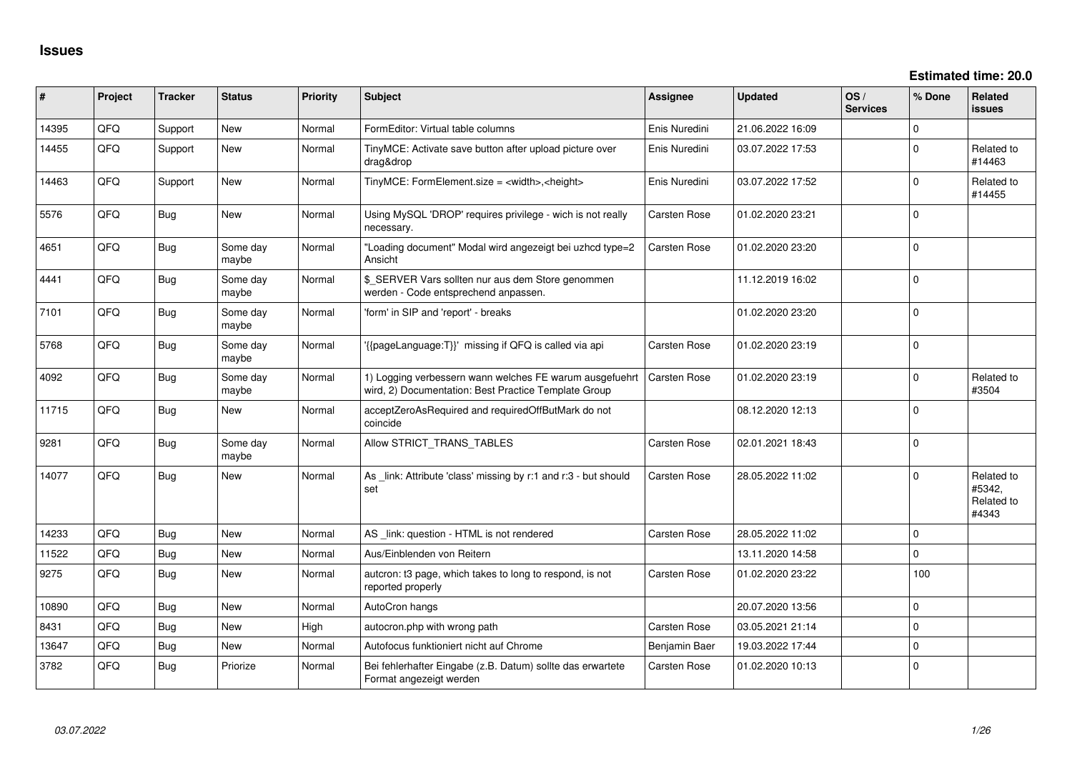| #     | Project | <b>Tracker</b> | <b>Status</b>     | <b>Priority</b> | <b>Subject</b>                                                                                                  | Assignee            | <b>Updated</b>   | OS/<br><b>Services</b> | % Done      | Related<br><b>issues</b>                    |
|-------|---------|----------------|-------------------|-----------------|-----------------------------------------------------------------------------------------------------------------|---------------------|------------------|------------------------|-------------|---------------------------------------------|
| 14395 | QFQ     | Support        | <b>New</b>        | Normal          | FormEditor: Virtual table columns                                                                               | Enis Nuredini       | 21.06.2022 16:09 |                        | $\mathbf 0$ |                                             |
| 14455 | QFQ     | Support        | <b>New</b>        | Normal          | TinyMCE: Activate save button after upload picture over<br>drag&drop                                            | Enis Nuredini       | 03.07.2022 17:53 |                        | $\Omega$    | Related to<br>#14463                        |
| 14463 | QFQ     | Support        | New               | Normal          | TinyMCE: FormElement.size = <width>,<height></height></width>                                                   | Enis Nuredini       | 03.07.2022 17:52 |                        | $\Omega$    | Related to<br>#14455                        |
| 5576  | QFQ     | Bug            | New               | Normal          | Using MySQL 'DROP' requires privilege - wich is not really<br>necessary.                                        | <b>Carsten Rose</b> | 01.02.2020 23:21 |                        | $\mathbf 0$ |                                             |
| 4651  | QFQ     | <b>Bug</b>     | Some day<br>maybe | Normal          | "Loading document" Modal wird angezeigt bei uzhcd type=2<br>Ansicht                                             | <b>Carsten Rose</b> | 01.02.2020 23:20 |                        | $\Omega$    |                                             |
| 4441  | QFQ     | Bug            | Some day<br>maybe | Normal          | \$_SERVER Vars sollten nur aus dem Store genommen<br>werden - Code entsprechend anpassen.                       |                     | 11.12.2019 16:02 |                        | $\Omega$    |                                             |
| 7101  | QFQ     | <b>Bug</b>     | Some day<br>maybe | Normal          | 'form' in SIP and 'report' - breaks                                                                             |                     | 01.02.2020 23:20 |                        | $\mathbf 0$ |                                             |
| 5768  | QFQ     | <b>Bug</b>     | Some day<br>maybe | Normal          | '{{pageLanguage:T}}' missing if QFQ is called via api                                                           | <b>Carsten Rose</b> | 01.02.2020 23:19 |                        | $\mathbf 0$ |                                             |
| 4092  | QFQ     | <b>Bug</b>     | Some day<br>maybe | Normal          | 1) Logging verbessern wann welches FE warum ausgefuehrt<br>wird, 2) Documentation: Best Practice Template Group | <b>Carsten Rose</b> | 01.02.2020 23:19 |                        | $\Omega$    | Related to<br>#3504                         |
| 11715 | QFQ     | <b>Bug</b>     | New               | Normal          | acceptZeroAsRequired and requiredOffButMark do not<br>coincide                                                  |                     | 08.12.2020 12:13 |                        | $\mathbf 0$ |                                             |
| 9281  | QFQ     | <b>Bug</b>     | Some day<br>maybe | Normal          | Allow STRICT_TRANS_TABLES                                                                                       | <b>Carsten Rose</b> | 02.01.2021 18:43 |                        | $\mathbf 0$ |                                             |
| 14077 | QFQ     | <b>Bug</b>     | New               | Normal          | As _link: Attribute 'class' missing by r:1 and r:3 - but should<br>set                                          | Carsten Rose        | 28.05.2022 11:02 |                        | $\Omega$    | Related to<br>#5342,<br>Related to<br>#4343 |
| 14233 | QFQ     | Bug            | <b>New</b>        | Normal          | AS _link: question - HTML is not rendered                                                                       | <b>Carsten Rose</b> | 28.05.2022 11:02 |                        | $\mathbf 0$ |                                             |
| 11522 | QFQ     | <b>Bug</b>     | <b>New</b>        | Normal          | Aus/Einblenden von Reitern                                                                                      |                     | 13.11.2020 14:58 |                        | $\mathbf 0$ |                                             |
| 9275  | QFQ     | <b>Bug</b>     | New               | Normal          | auteron: t3 page, which takes to long to respond, is not<br>reported properly                                   | <b>Carsten Rose</b> | 01.02.2020 23:22 |                        | 100         |                                             |
| 10890 | QFQ     | Bug            | <b>New</b>        | Normal          | AutoCron hangs                                                                                                  |                     | 20.07.2020 13:56 |                        | $\mathbf 0$ |                                             |
| 8431  | QFQ     | <b>Bug</b>     | New               | High            | autocron.php with wrong path                                                                                    | <b>Carsten Rose</b> | 03.05.2021 21:14 |                        | $\mathbf 0$ |                                             |
| 13647 | QFQ     | Bug            | New               | Normal          | Autofocus funktioniert nicht auf Chrome                                                                         | Benjamin Baer       | 19.03.2022 17:44 |                        | $\mathbf 0$ |                                             |
| 3782  | QFQ     | <b>Bug</b>     | Priorize          | Normal          | Bei fehlerhafter Eingabe (z.B. Datum) sollte das erwartete<br>Format angezeigt werden                           | <b>Carsten Rose</b> | 01.02.2020 10:13 |                        | $\mathbf 0$ |                                             |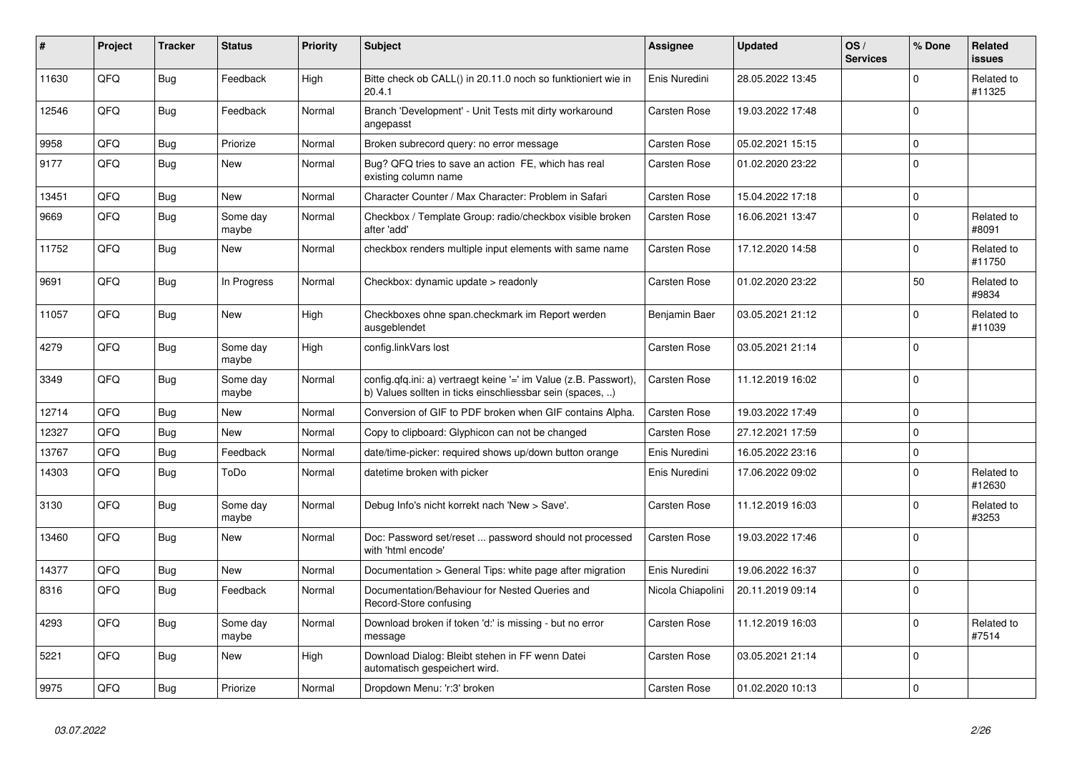| #     | Project | <b>Tracker</b> | <b>Status</b>     | <b>Priority</b> | <b>Subject</b>                                                                                                                | Assignee            | <b>Updated</b>   | OS/<br><b>Services</b> | % Done      | Related<br><b>issues</b> |
|-------|---------|----------------|-------------------|-----------------|-------------------------------------------------------------------------------------------------------------------------------|---------------------|------------------|------------------------|-------------|--------------------------|
| 11630 | QFQ     | <b>Bug</b>     | Feedback          | High            | Bitte check ob CALL() in 20.11.0 noch so funktioniert wie in<br>20.4.1                                                        | Enis Nuredini       | 28.05.2022 13:45 |                        | $\Omega$    | Related to<br>#11325     |
| 12546 | QFQ     | Bug            | Feedback          | Normal          | Branch 'Development' - Unit Tests mit dirty workaround<br>angepasst                                                           | Carsten Rose        | 19.03.2022 17:48 |                        | $\mathsf 0$ |                          |
| 9958  | QFQ     | Bug            | Priorize          | Normal          | Broken subrecord query: no error message                                                                                      | <b>Carsten Rose</b> | 05.02.2021 15:15 |                        | $\mathbf 0$ |                          |
| 9177  | QFQ     | Bug            | <b>New</b>        | Normal          | Bug? QFQ tries to save an action FE, which has real<br>existing column name                                                   | Carsten Rose        | 01.02.2020 23:22 |                        | $\mathbf 0$ |                          |
| 13451 | QFQ     | Bug            | New               | Normal          | Character Counter / Max Character: Problem in Safari                                                                          | <b>Carsten Rose</b> | 15.04.2022 17:18 |                        | $\mathbf 0$ |                          |
| 9669  | QFQ     | <b>Bug</b>     | Some day<br>maybe | Normal          | Checkbox / Template Group: radio/checkbox visible broken<br>after 'add'                                                       | <b>Carsten Rose</b> | 16.06.2021 13:47 |                        | $\mathbf 0$ | Related to<br>#8091      |
| 11752 | QFQ     | Bug            | New               | Normal          | checkbox renders multiple input elements with same name                                                                       | Carsten Rose        | 17.12.2020 14:58 |                        | $\Omega$    | Related to<br>#11750     |
| 9691  | QFQ     | <b>Bug</b>     | In Progress       | Normal          | Checkbox: dynamic update > readonly                                                                                           | <b>Carsten Rose</b> | 01.02.2020 23:22 |                        | 50          | Related to<br>#9834      |
| 11057 | QFQ     | Bug            | <b>New</b>        | High            | Checkboxes ohne span.checkmark im Report werden<br>ausgeblendet                                                               | Benjamin Baer       | 03.05.2021 21:12 |                        | $\mathbf 0$ | Related to<br>#11039     |
| 4279  | QFQ     | <b>Bug</b>     | Some day<br>maybe | High            | config.linkVars lost                                                                                                          | <b>Carsten Rose</b> | 03.05.2021 21:14 |                        | $\Omega$    |                          |
| 3349  | QFQ     | <b>Bug</b>     | Some day<br>maybe | Normal          | config.qfq.ini: a) vertraegt keine '=' im Value (z.B. Passwort),<br>b) Values sollten in ticks einschliessbar sein (spaces, ) | Carsten Rose        | 11.12.2019 16:02 |                        | $\mathbf 0$ |                          |
| 12714 | QFQ     | <b>Bug</b>     | <b>New</b>        | Normal          | Conversion of GIF to PDF broken when GIF contains Alpha.                                                                      | <b>Carsten Rose</b> | 19.03.2022 17:49 |                        | $\mathbf 0$ |                          |
| 12327 | QFQ     | <b>Bug</b>     | <b>New</b>        | Normal          | Copy to clipboard: Glyphicon can not be changed                                                                               | Carsten Rose        | 27.12.2021 17:59 |                        | $\mathbf 0$ |                          |
| 13767 | QFQ     | Bug            | Feedback          | Normal          | date/time-picker: required shows up/down button orange                                                                        | Enis Nuredini       | 16.05.2022 23:16 |                        | $\mathsf 0$ |                          |
| 14303 | QFQ     | Bug            | ToDo              | Normal          | datetime broken with picker                                                                                                   | Enis Nuredini       | 17.06.2022 09:02 |                        | $\mathbf 0$ | Related to<br>#12630     |
| 3130  | QFQ     | <b>Bug</b>     | Some day<br>maybe | Normal          | Debug Info's nicht korrekt nach 'New > Save'.                                                                                 | Carsten Rose        | 11.12.2019 16:03 |                        | $\Omega$    | Related to<br>#3253      |
| 13460 | QFQ     | Bug            | New               | Normal          | Doc: Password set/reset  password should not processed<br>with 'html encode'                                                  | Carsten Rose        | 19.03.2022 17:46 |                        | $\mathbf 0$ |                          |
| 14377 | QFQ     | <b>Bug</b>     | <b>New</b>        | Normal          | Documentation > General Tips: white page after migration                                                                      | Enis Nuredini       | 19.06.2022 16:37 |                        | $\mathbf 0$ |                          |
| 8316  | QFQ     | Bug            | Feedback          | Normal          | Documentation/Behaviour for Nested Queries and<br>Record-Store confusing                                                      | Nicola Chiapolini   | 20.11.2019 09:14 |                        | $\Omega$    |                          |
| 4293  | QFQ     | <b>Bug</b>     | Some day<br>maybe | Normal          | Download broken if token 'd:' is missing - but no error<br>message                                                            | Carsten Rose        | 11.12.2019 16:03 |                        | $\Omega$    | Related to<br>#7514      |
| 5221  | QFQ     | Bug            | New               | High            | Download Dialog: Bleibt stehen in FF wenn Datei<br>automatisch gespeichert wird.                                              | Carsten Rose        | 03.05.2021 21:14 |                        | $\mathbf 0$ |                          |
| 9975  | QFQ     | <b>Bug</b>     | Priorize          | Normal          | Dropdown Menu: 'r:3' broken                                                                                                   | Carsten Rose        | 01.02.2020 10:13 |                        | $\mathbf 0$ |                          |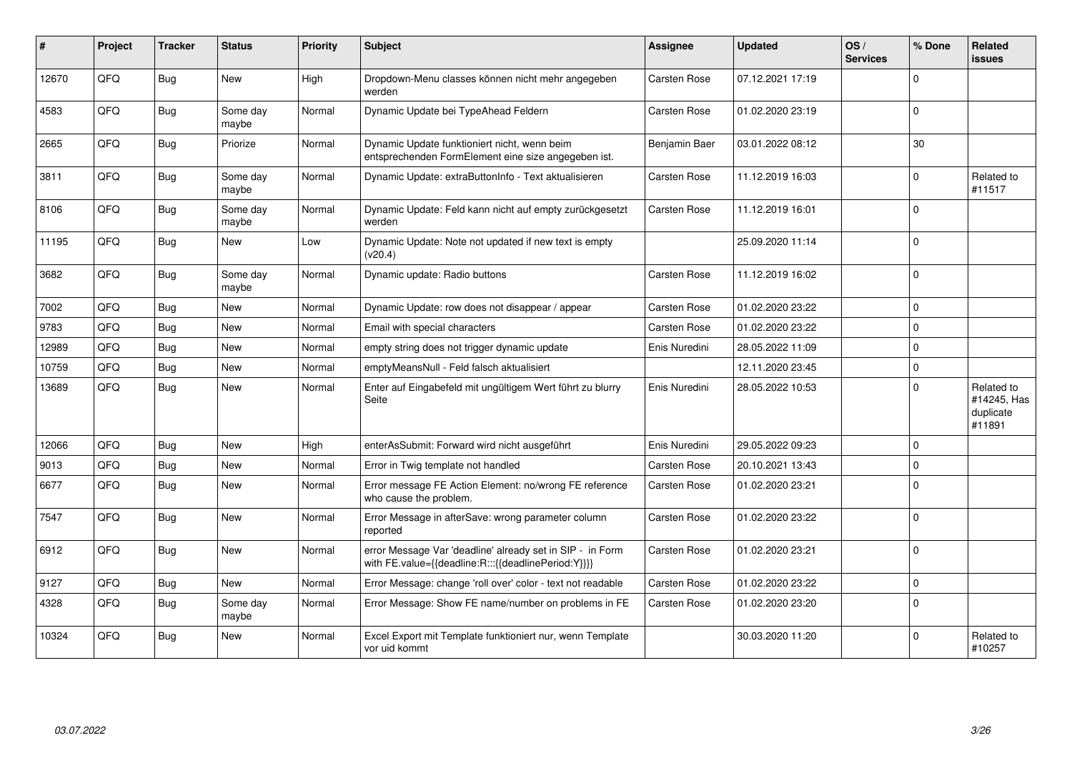| #     | Project    | <b>Tracker</b> | <b>Status</b>     | <b>Priority</b> | <b>Subject</b>                                                                                                   | <b>Assignee</b>     | <b>Updated</b>   | OS/<br><b>Services</b> | % Done       | Related<br><b>issues</b>                         |
|-------|------------|----------------|-------------------|-----------------|------------------------------------------------------------------------------------------------------------------|---------------------|------------------|------------------------|--------------|--------------------------------------------------|
| 12670 | QFQ        | Bug            | <b>New</b>        | High            | Dropdown-Menu classes können nicht mehr angegeben<br>werden                                                      | Carsten Rose        | 07.12.2021 17:19 |                        | <sup>0</sup> |                                                  |
| 4583  | QFQ        | <b>Bug</b>     | Some day<br>maybe | Normal          | Dynamic Update bei TypeAhead Feldern                                                                             | Carsten Rose        | 01.02.2020 23:19 |                        | $\Omega$     |                                                  |
| 2665  | QFQ        | <b>Bug</b>     | Priorize          | Normal          | Dynamic Update funktioniert nicht, wenn beim<br>entsprechenden FormElement eine size angegeben ist.              | Benjamin Baer       | 03.01.2022 08:12 |                        | 30           |                                                  |
| 3811  | QFQ        | Bug            | Some day<br>maybe | Normal          | Dynamic Update: extraButtonInfo - Text aktualisieren                                                             | <b>Carsten Rose</b> | 11.12.2019 16:03 |                        | $\Omega$     | Related to<br>#11517                             |
| 8106  | QFQ        | <b>Bug</b>     | Some day<br>maybe | Normal          | Dynamic Update: Feld kann nicht auf empty zurückgesetzt<br>werden                                                | <b>Carsten Rose</b> | 11.12.2019 16:01 |                        | $\Omega$     |                                                  |
| 11195 | QFQ        | <b>Bug</b>     | New               | Low             | Dynamic Update: Note not updated if new text is empty<br>(v20.4)                                                 |                     | 25.09.2020 11:14 |                        | $\Omega$     |                                                  |
| 3682  | QFQ        | Bug            | Some day<br>maybe | Normal          | Dynamic update: Radio buttons                                                                                    | Carsten Rose        | 11.12.2019 16:02 |                        | $\Omega$     |                                                  |
| 7002  | QFQ        | <b>Bug</b>     | New               | Normal          | Dynamic Update: row does not disappear / appear                                                                  | Carsten Rose        | 01.02.2020 23:22 |                        | 0            |                                                  |
| 9783  | QFQ        | Bug            | New               | Normal          | Email with special characters                                                                                    | Carsten Rose        | 01.02.2020 23:22 |                        | $\Omega$     |                                                  |
| 12989 | QFQ        | <b>Bug</b>     | New               | Normal          | empty string does not trigger dynamic update                                                                     | Enis Nuredini       | 28.05.2022 11:09 |                        | $\Omega$     |                                                  |
| 10759 | QFQ        | Bug            | New               | Normal          | emptyMeansNull - Feld falsch aktualisiert                                                                        |                     | 12.11.2020 23:45 |                        | $\Omega$     |                                                  |
| 13689 | QFQ        | <b>Bug</b>     | New               | Normal          | Enter auf Eingabefeld mit ungültigem Wert führt zu blurry<br>Seite                                               | Enis Nuredini       | 28.05.2022 10:53 |                        | $\Omega$     | Related to<br>#14245, Has<br>duplicate<br>#11891 |
| 12066 | QFQ        | <b>Bug</b>     | <b>New</b>        | High            | enterAsSubmit: Forward wird nicht ausgeführt                                                                     | Enis Nuredini       | 29.05.2022 09:23 |                        | $\Omega$     |                                                  |
| 9013  | QFQ        | <b>Bug</b>     | New               | Normal          | Error in Twig template not handled                                                                               | Carsten Rose        | 20.10.2021 13:43 |                        | 0            |                                                  |
| 6677  | QFQ        | <b>Bug</b>     | <b>New</b>        | Normal          | Error message FE Action Element: no/wrong FE reference<br>who cause the problem.                                 | Carsten Rose        | 01.02.2020 23:21 |                        | $\Omega$     |                                                  |
| 7547  | QFQ        | <b>Bug</b>     | New               | Normal          | Error Message in afterSave: wrong parameter column<br>reported                                                   | Carsten Rose        | 01.02.2020 23:22 |                        | $\Omega$     |                                                  |
| 6912  | QFQ        | Bug            | New               | Normal          | error Message Var 'deadline' already set in SIP - in Form<br>with FE.value={{deadline:R:::{{deadlinePeriod:Y}}}} | Carsten Rose        | 01.02.2020 23:21 |                        | 0            |                                                  |
| 9127  | <b>OFO</b> | <b>Bug</b>     | <b>New</b>        | Normal          | Error Message: change 'roll over' color - text not readable                                                      | Carsten Rose        | 01.02.2020 23:22 |                        | $\Omega$     |                                                  |
| 4328  | QFQ        | <b>Bug</b>     | Some day<br>maybe | Normal          | Error Message: Show FE name/number on problems in FE                                                             | Carsten Rose        | 01.02.2020 23:20 |                        | $\Omega$     |                                                  |
| 10324 | QFQ        | Bug            | New               | Normal          | Excel Export mit Template funktioniert nur, wenn Template<br>vor uid kommt                                       |                     | 30.03.2020 11:20 |                        | $\Omega$     | Related to<br>#10257                             |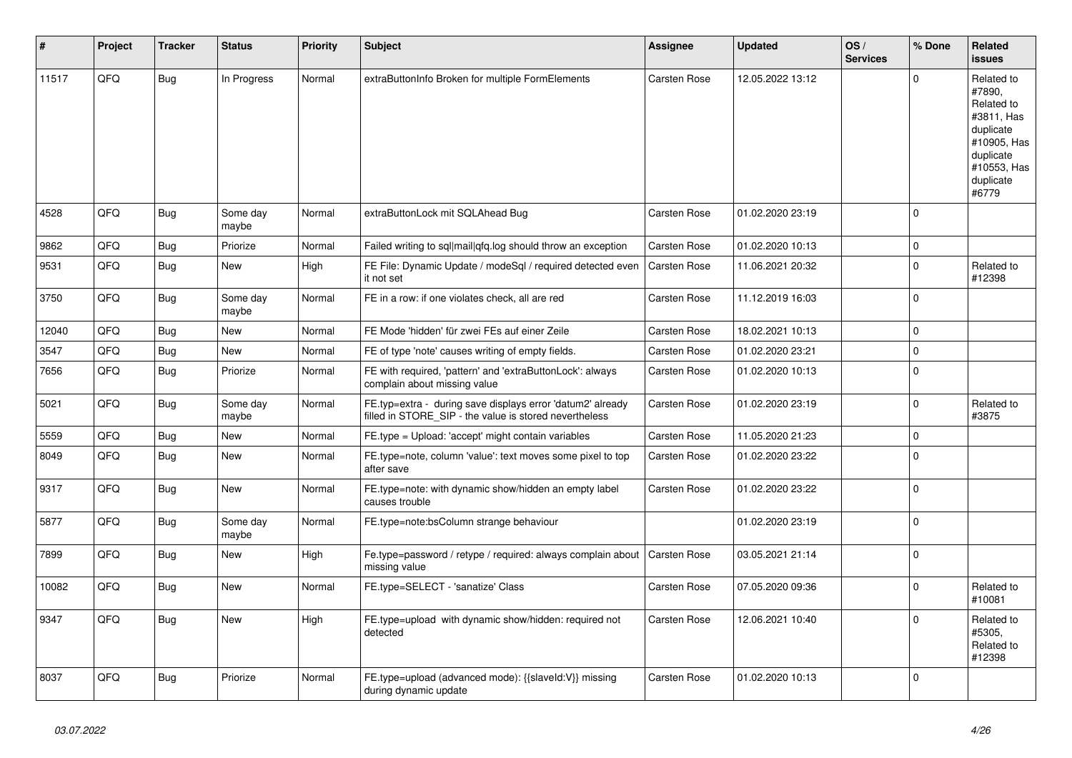| #     | Project | <b>Tracker</b> | <b>Status</b>     | <b>Priority</b> | <b>Subject</b>                                                                                                       | Assignee            | <b>Updated</b>   | OS/<br><b>Services</b> | % Done              | Related<br><b>issues</b>                                                                                                       |
|-------|---------|----------------|-------------------|-----------------|----------------------------------------------------------------------------------------------------------------------|---------------------|------------------|------------------------|---------------------|--------------------------------------------------------------------------------------------------------------------------------|
| 11517 | QFQ     | <b>Bug</b>     | In Progress       | Normal          | extraButtonInfo Broken for multiple FormElements                                                                     | Carsten Rose        | 12.05.2022 13:12 |                        | $\mathbf 0$         | Related to<br>#7890,<br>Related to<br>#3811, Has<br>duplicate<br>#10905, Has<br>duplicate<br>#10553, Has<br>duplicate<br>#6779 |
| 4528  | QFQ     | <b>Bug</b>     | Some day<br>maybe | Normal          | extraButtonLock mit SQLAhead Bug                                                                                     | Carsten Rose        | 01.02.2020 23:19 |                        | $\Omega$            |                                                                                                                                |
| 9862  | QFQ     | <b>Bug</b>     | Priorize          | Normal          | Failed writing to sql mail qfq.log should throw an exception                                                         | <b>Carsten Rose</b> | 01.02.2020 10:13 |                        | $\mathsf 0$         |                                                                                                                                |
| 9531  | QFQ     | Bug            | <b>New</b>        | High            | FE File: Dynamic Update / modeSgl / required detected even<br>it not set                                             | <b>Carsten Rose</b> | 11.06.2021 20:32 |                        | $\mathbf 0$         | Related to<br>#12398                                                                                                           |
| 3750  | QFQ     | <b>Bug</b>     | Some day<br>maybe | Normal          | FE in a row: if one violates check, all are red                                                                      | Carsten Rose        | 11.12.2019 16:03 |                        | $\mathbf 0$         |                                                                                                                                |
| 12040 | QFQ     | Bug            | <b>New</b>        | Normal          | FE Mode 'hidden' für zwei FEs auf einer Zeile                                                                        | Carsten Rose        | 18.02.2021 10:13 |                        | $\mathbf 0$         |                                                                                                                                |
| 3547  | QFQ     | <b>Bug</b>     | New               | Normal          | FE of type 'note' causes writing of empty fields.                                                                    | Carsten Rose        | 01.02.2020 23:21 |                        | $\mathsf 0$         |                                                                                                                                |
| 7656  | QFQ     | Bug            | Priorize          | Normal          | FE with required, 'pattern' and 'extraButtonLock': always<br>complain about missing value                            | Carsten Rose        | 01.02.2020 10:13 |                        | $\mathbf 0$         |                                                                                                                                |
| 5021  | QFQ     | Bug            | Some day<br>maybe | Normal          | FE.typ=extra - during save displays error 'datum2' already<br>filled in STORE_SIP - the value is stored nevertheless | Carsten Rose        | 01.02.2020 23:19 |                        | $\mathbf 0$         | Related to<br>#3875                                                                                                            |
| 5559  | QFQ     | <b>Bug</b>     | New               | Normal          | FE.type = Upload: 'accept' might contain variables                                                                   | Carsten Rose        | 11.05.2020 21:23 |                        | $\mathsf{O}\xspace$ |                                                                                                                                |
| 8049  | QFQ     | Bug            | <b>New</b>        | Normal          | FE.type=note, column 'value': text moves some pixel to top<br>after save                                             | Carsten Rose        | 01.02.2020 23:22 |                        | $\mathbf 0$         |                                                                                                                                |
| 9317  | QFQ     | Bug            | <b>New</b>        | Normal          | FE.type=note: with dynamic show/hidden an empty label<br>causes trouble                                              | Carsten Rose        | 01.02.2020 23:22 |                        | $\mathsf 0$         |                                                                                                                                |
| 5877  | QFQ     | <b>Bug</b>     | Some day<br>maybe | Normal          | FE.type=note:bsColumn strange behaviour                                                                              |                     | 01.02.2020 23:19 |                        | $\mathbf 0$         |                                                                                                                                |
| 7899  | QFQ     | <b>Bug</b>     | <b>New</b>        | High            | Fe.type=password / retype / required: always complain about<br>missing value                                         | <b>Carsten Rose</b> | 03.05.2021 21:14 |                        | $\mathbf 0$         |                                                                                                                                |
| 10082 | QFQ     | Bug            | New               | Normal          | FE.type=SELECT - 'sanatize' Class                                                                                    | Carsten Rose        | 07.05.2020 09:36 |                        | $\Omega$            | Related to<br>#10081                                                                                                           |
| 9347  | QFQ     | Bug            | <b>New</b>        | High            | FE.type=upload with dynamic show/hidden: required not<br>detected                                                    | Carsten Rose        | 12.06.2021 10:40 |                        | $\mathbf 0$         | Related to<br>#5305,<br>Related to<br>#12398                                                                                   |
| 8037  | QFQ     | <b>Bug</b>     | Priorize          | Normal          | FE.type=upload (advanced mode): {{slaveld:V}} missing<br>during dynamic update                                       | Carsten Rose        | 01.02.2020 10:13 |                        | $\mathbf 0$         |                                                                                                                                |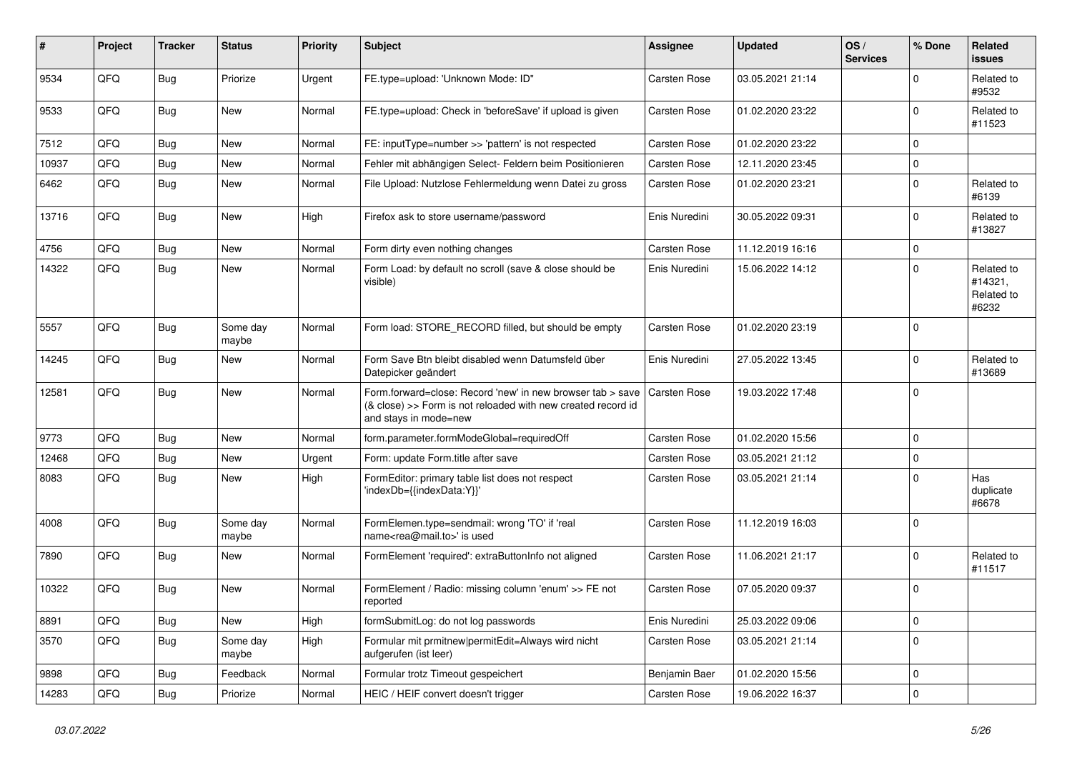| #     | Project | <b>Tracker</b> | <b>Status</b>     | <b>Priority</b> | <b>Subject</b>                                                                                                                                      | Assignee            | <b>Updated</b>   | OS/<br><b>Services</b> | % Done      | Related<br>issues                            |
|-------|---------|----------------|-------------------|-----------------|-----------------------------------------------------------------------------------------------------------------------------------------------------|---------------------|------------------|------------------------|-------------|----------------------------------------------|
| 9534  | QFQ     | Bug            | Priorize          | Urgent          | FE.type=upload: 'Unknown Mode: ID"                                                                                                                  | <b>Carsten Rose</b> | 03.05.2021 21:14 |                        | $\mathbf 0$ | Related to<br>#9532                          |
| 9533  | QFQ     | <b>Bug</b>     | New               | Normal          | FE.type=upload: Check in 'beforeSave' if upload is given                                                                                            | Carsten Rose        | 01.02.2020 23:22 |                        | $\mathbf 0$ | Related to<br>#11523                         |
| 7512  | QFQ     | <b>Bug</b>     | New               | Normal          | FE: inputType=number >> 'pattern' is not respected                                                                                                  | Carsten Rose        | 01.02.2020 23:22 |                        | $\mathbf 0$ |                                              |
| 10937 | QFQ     | Bug            | New               | Normal          | Fehler mit abhängigen Select- Feldern beim Positionieren                                                                                            | <b>Carsten Rose</b> | 12.11.2020 23:45 |                        | $\mathbf 0$ |                                              |
| 6462  | QFQ     | Bug            | New               | Normal          | File Upload: Nutzlose Fehlermeldung wenn Datei zu gross                                                                                             | Carsten Rose        | 01.02.2020 23:21 |                        | $\mathbf 0$ | Related to<br>#6139                          |
| 13716 | QFQ     | Bug            | New               | High            | Firefox ask to store username/password                                                                                                              | Enis Nuredini       | 30.05.2022 09:31 |                        | $\mathbf 0$ | Related to<br>#13827                         |
| 4756  | QFQ     | Bug            | New               | Normal          | Form dirty even nothing changes                                                                                                                     | Carsten Rose        | 11.12.2019 16:16 |                        | $\mathbf 0$ |                                              |
| 14322 | QFQ     | Bug            | New               | Normal          | Form Load: by default no scroll (save & close should be<br>visible)                                                                                 | Enis Nuredini       | 15.06.2022 14:12 |                        | $\Omega$    | Related to<br>#14321,<br>Related to<br>#6232 |
| 5557  | QFQ     | Bug            | Some day<br>maybe | Normal          | Form load: STORE_RECORD filled, but should be empty                                                                                                 | <b>Carsten Rose</b> | 01.02.2020 23:19 |                        | $\mathbf 0$ |                                              |
| 14245 | QFQ     | Bug            | New               | Normal          | Form Save Btn bleibt disabled wenn Datumsfeld über<br>Datepicker geändert                                                                           | Enis Nuredini       | 27.05.2022 13:45 |                        | $\mathbf 0$ | Related to<br>#13689                         |
| 12581 | QFQ     | Bug            | New               | Normal          | Form.forward=close: Record 'new' in new browser tab > save<br>(& close) >> Form is not reloaded with new created record id<br>and stays in mode=new | <b>Carsten Rose</b> | 19.03.2022 17:48 |                        | $\mathbf 0$ |                                              |
| 9773  | QFQ     | Bug            | <b>New</b>        | Normal          | form.parameter.formModeGlobal=requiredOff                                                                                                           | <b>Carsten Rose</b> | 01.02.2020 15:56 |                        | $\mathbf 0$ |                                              |
| 12468 | QFQ     | Bug            | New               | Urgent          | Form: update Form.title after save                                                                                                                  | Carsten Rose        | 03.05.2021 21:12 |                        | $\mathbf 0$ |                                              |
| 8083  | QFQ     | <b>Bug</b>     | New               | High            | FormEditor: primary table list does not respect<br>'indexDb={{indexData:Y}}'                                                                        | Carsten Rose        | 03.05.2021 21:14 |                        | $\mathbf 0$ | Has<br>duplicate<br>#6678                    |
| 4008  | QFQ     | <b>Bug</b>     | Some day<br>maybe | Normal          | FormElemen.type=sendmail: wrong 'TO' if 'real<br>name <rea@mail.to>' is used</rea@mail.to>                                                          | <b>Carsten Rose</b> | 11.12.2019 16:03 |                        | $\mathbf 0$ |                                              |
| 7890  | QFQ     | Bug            | New               | Normal          | FormElement 'required': extraButtonInfo not aligned                                                                                                 | Carsten Rose        | 11.06.2021 21:17 |                        | $\mathbf 0$ | Related to<br>#11517                         |
| 10322 | QFQ     | Bug            | New               | Normal          | FormElement / Radio: missing column 'enum' >> FE not<br>reported                                                                                    | Carsten Rose        | 07.05.2020 09:37 |                        | $\mathbf 0$ |                                              |
| 8891  | QFQ     | <b>Bug</b>     | New               | High            | formSubmitLog: do not log passwords                                                                                                                 | Enis Nuredini       | 25.03.2022 09:06 |                        | $\mathbf 0$ |                                              |
| 3570  | QFQ     | Bug            | Some day<br>maybe | High            | Formular mit prmitnew permitEdit=Always wird nicht<br>aufgerufen (ist leer)                                                                         | Carsten Rose        | 03.05.2021 21:14 |                        | $\mathbf 0$ |                                              |
| 9898  | QFQ     | Bug            | Feedback          | Normal          | Formular trotz Timeout gespeichert                                                                                                                  | Benjamin Baer       | 01.02.2020 15:56 |                        | $\mathbf 0$ |                                              |
| 14283 | QFQ     | Bug            | Priorize          | Normal          | HEIC / HEIF convert doesn't trigger                                                                                                                 | Carsten Rose        | 19.06.2022 16:37 |                        | $\mathbf 0$ |                                              |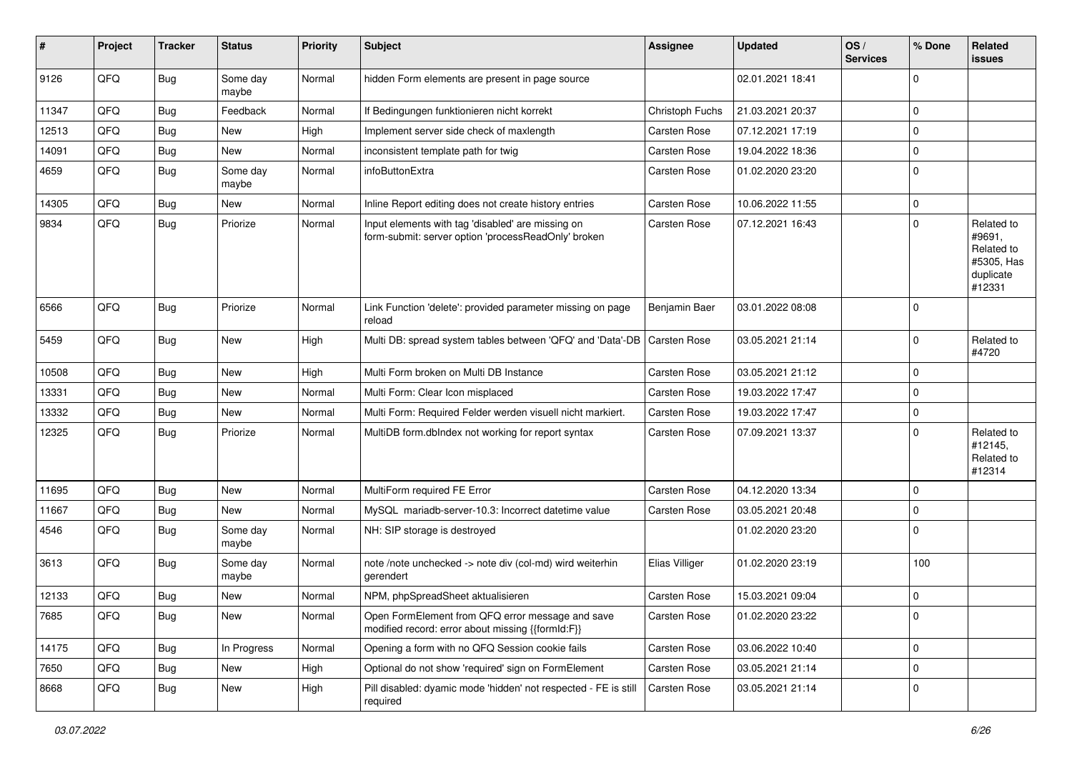| #     | Project | <b>Tracker</b> | <b>Status</b>     | <b>Priority</b> | <b>Subject</b>                                                                                           | <b>Assignee</b>     | <b>Updated</b>   | OS/<br><b>Services</b> | % Done      | Related<br>issues                                                       |
|-------|---------|----------------|-------------------|-----------------|----------------------------------------------------------------------------------------------------------|---------------------|------------------|------------------------|-------------|-------------------------------------------------------------------------|
| 9126  | QFQ     | <b>Bug</b>     | Some day<br>maybe | Normal          | hidden Form elements are present in page source                                                          |                     | 02.01.2021 18:41 |                        | $\mathbf 0$ |                                                                         |
| 11347 | QFQ     | <b>Bug</b>     | Feedback          | Normal          | If Bedingungen funktionieren nicht korrekt                                                               | Christoph Fuchs     | 21.03.2021 20:37 |                        | $\mathbf 0$ |                                                                         |
| 12513 | QFQ     | <b>Bug</b>     | New               | High            | Implement server side check of maxlength                                                                 | Carsten Rose        | 07.12.2021 17:19 |                        | $\pmb{0}$   |                                                                         |
| 14091 | QFQ     | <b>Bug</b>     | New               | Normal          | inconsistent template path for twig                                                                      | Carsten Rose        | 19.04.2022 18:36 |                        | $\mathbf 0$ |                                                                         |
| 4659  | QFQ     | Bug            | Some day<br>maybe | Normal          | infoButtonExtra                                                                                          | Carsten Rose        | 01.02.2020 23:20 |                        | $\mathbf 0$ |                                                                         |
| 14305 | QFQ     | <b>Bug</b>     | New               | Normal          | Inline Report editing does not create history entries                                                    | Carsten Rose        | 10.06.2022 11:55 |                        | $\mathbf 0$ |                                                                         |
| 9834  | QFQ     | <b>Bug</b>     | Priorize          | Normal          | Input elements with tag 'disabled' are missing on<br>form-submit: server option 'processReadOnly' broken | Carsten Rose        | 07.12.2021 16:43 |                        | $\mathbf 0$ | Related to<br>#9691,<br>Related to<br>#5305, Has<br>duplicate<br>#12331 |
| 6566  | QFQ     | <b>Bug</b>     | Priorize          | Normal          | Link Function 'delete': provided parameter missing on page<br>reload                                     | Benjamin Baer       | 03.01.2022 08:08 |                        | $\mathbf 0$ |                                                                         |
| 5459  | QFQ     | Bug            | New               | High            | Multi DB: spread system tables between 'QFQ' and 'Data'-DB   Carsten Rose                                |                     | 03.05.2021 21:14 |                        | $\mathbf 0$ | Related to<br>#4720                                                     |
| 10508 | QFQ     | <b>Bug</b>     | New               | High            | Multi Form broken on Multi DB Instance                                                                   | Carsten Rose        | 03.05.2021 21:12 |                        | $\mathbf 0$ |                                                                         |
| 13331 | QFQ     | <b>Bug</b>     | <b>New</b>        | Normal          | Multi Form: Clear Icon misplaced                                                                         | Carsten Rose        | 19.03.2022 17:47 |                        | $\pmb{0}$   |                                                                         |
| 13332 | QFQ     | Bug            | New               | Normal          | Multi Form: Required Felder werden visuell nicht markiert.                                               | Carsten Rose        | 19.03.2022 17:47 |                        | $\pmb{0}$   |                                                                         |
| 12325 | QFQ     | Bug            | Priorize          | Normal          | MultiDB form.dblndex not working for report syntax                                                       | Carsten Rose        | 07.09.2021 13:37 |                        | $\mathbf 0$ | Related to<br>#12145,<br>Related to<br>#12314                           |
| 11695 | QFQ     | <b>Bug</b>     | <b>New</b>        | Normal          | MultiForm required FE Error                                                                              | <b>Carsten Rose</b> | 04.12.2020 13:34 |                        | $\mathbf 0$ |                                                                         |
| 11667 | QFQ     | <b>Bug</b>     | New               | Normal          | MySQL mariadb-server-10.3: Incorrect datetime value                                                      | Carsten Rose        | 03.05.2021 20:48 |                        | $\mathbf 0$ |                                                                         |
| 4546  | QFQ     | <b>Bug</b>     | Some day<br>maybe | Normal          | NH: SIP storage is destroyed                                                                             |                     | 01.02.2020 23:20 |                        | $\mathbf 0$ |                                                                         |
| 3613  | QFQ     | <b>Bug</b>     | Some day<br>maybe | Normal          | note /note unchecked -> note div (col-md) wird weiterhin<br>gerendert                                    | Elias Villiger      | 01.02.2020 23:19 |                        | 100         |                                                                         |
| 12133 | QFQ     | <b>Bug</b>     | New               | Normal          | NPM, phpSpreadSheet aktualisieren                                                                        | <b>Carsten Rose</b> | 15.03.2021 09:04 |                        | $\mathbf 0$ |                                                                         |
| 7685  | QFQ     | Bug            | New               | Normal          | Open FormElement from QFQ error message and save<br>modified record: error about missing {{formId:F}}    | Carsten Rose        | 01.02.2020 23:22 |                        | $\mathbf 0$ |                                                                         |
| 14175 | QFQ     | <b>Bug</b>     | In Progress       | Normal          | Opening a form with no QFQ Session cookie fails                                                          | Carsten Rose        | 03.06.2022 10:40 |                        | $\mathbf 0$ |                                                                         |
| 7650  | QFQ     | <b>Bug</b>     | New               | High            | Optional do not show 'required' sign on FormElement                                                      | Carsten Rose        | 03.05.2021 21:14 |                        | $\mathbf 0$ |                                                                         |
| 8668  | QFQ     | <b>Bug</b>     | New               | High            | Pill disabled: dyamic mode 'hidden' not respected - FE is still<br>required                              | Carsten Rose        | 03.05.2021 21:14 |                        | $\mathbf 0$ |                                                                         |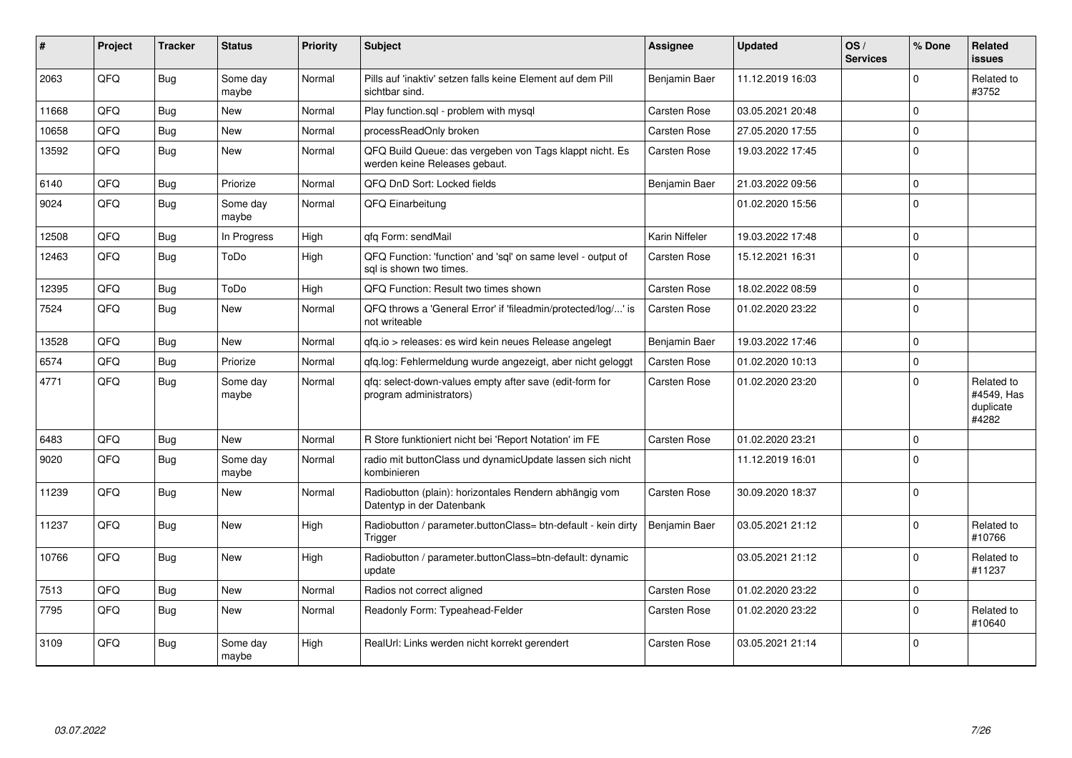| #     | Project | <b>Tracker</b> | <b>Status</b>     | <b>Priority</b> | <b>Subject</b>                                                                           | Assignee            | <b>Updated</b>   | OS/<br><b>Services</b> | % Done      | Related<br><b>issues</b>                       |
|-------|---------|----------------|-------------------|-----------------|------------------------------------------------------------------------------------------|---------------------|------------------|------------------------|-------------|------------------------------------------------|
| 2063  | QFQ     | Bug            | Some day<br>maybe | Normal          | Pills auf 'inaktiv' setzen falls keine Element auf dem Pill<br>sichtbar sind.            | Benjamin Baer       | 11.12.2019 16:03 |                        | $\Omega$    | Related to<br>#3752                            |
| 11668 | QFQ     | <b>Bug</b>     | New               | Normal          | Play function.sql - problem with mysql                                                   | Carsten Rose        | 03.05.2021 20:48 |                        | $\Omega$    |                                                |
| 10658 | QFQ     | <b>Bug</b>     | <b>New</b>        | Normal          | processReadOnly broken                                                                   | Carsten Rose        | 27.05.2020 17:55 |                        | $\mathbf 0$ |                                                |
| 13592 | QFQ     | <b>Bug</b>     | New               | Normal          | QFQ Build Queue: das vergeben von Tags klappt nicht. Es<br>werden keine Releases gebaut. | <b>Carsten Rose</b> | 19.03.2022 17:45 |                        | $\mathbf 0$ |                                                |
| 6140  | QFQ     | <b>Bug</b>     | Priorize          | Normal          | QFQ DnD Sort: Locked fields                                                              | Benjamin Baer       | 21.03.2022 09:56 |                        | $\mathbf 0$ |                                                |
| 9024  | QFQ     | Bug            | Some day<br>maybe | Normal          | QFQ Einarbeitung                                                                         |                     | 01.02.2020 15:56 |                        | $\Omega$    |                                                |
| 12508 | QFQ     | Bug            | In Progress       | High            | gfg Form: sendMail                                                                       | Karin Niffeler      | 19.03.2022 17:48 |                        | $\Omega$    |                                                |
| 12463 | QFQ     | Bug            | ToDo              | High            | QFQ Function: 'function' and 'sql' on same level - output of<br>sql is shown two times.  | Carsten Rose        | 15.12.2021 16:31 |                        | $\Omega$    |                                                |
| 12395 | QFQ     | <b>Bug</b>     | ToDo              | High            | QFQ Function: Result two times shown                                                     | Carsten Rose        | 18.02.2022 08:59 |                        | $\mathbf 0$ |                                                |
| 7524  | QFQ     | Bug            | New               | Normal          | QFQ throws a 'General Error' if 'fileadmin/protected/log/' is<br>not writeable           | <b>Carsten Rose</b> | 01.02.2020 23:22 |                        | $\mathbf 0$ |                                                |
| 13528 | QFQ     | <b>Bug</b>     | New               | Normal          | gfg.io > releases: es wird kein neues Release angelegt                                   | Benjamin Baer       | 19.03.2022 17:46 |                        | $\Omega$    |                                                |
| 6574  | QFQ     | <b>Bug</b>     | Priorize          | Normal          | qfq.log: Fehlermeldung wurde angezeigt, aber nicht geloggt                               | Carsten Rose        | 01.02.2020 10:13 |                        | $\Omega$    |                                                |
| 4771  | QFQ     | Bug            | Some day<br>maybe | Normal          | qfq: select-down-values empty after save (edit-form for<br>program administrators)       | Carsten Rose        | 01.02.2020 23:20 |                        | $\Omega$    | Related to<br>#4549, Has<br>duplicate<br>#4282 |
| 6483  | QFQ     | <b>Bug</b>     | <b>New</b>        | Normal          | R Store funktioniert nicht bei 'Report Notation' im FE                                   | <b>Carsten Rose</b> | 01.02.2020 23:21 |                        | $\Omega$    |                                                |
| 9020  | QFQ     | <b>Bug</b>     | Some day<br>maybe | Normal          | radio mit buttonClass und dynamicUpdate lassen sich nicht<br>kombinieren                 |                     | 11.12.2019 16:01 |                        | $\Omega$    |                                                |
| 11239 | QFQ     | Bug            | New               | Normal          | Radiobutton (plain): horizontales Rendern abhängig vom<br>Datentyp in der Datenbank      | Carsten Rose        | 30.09.2020 18:37 |                        | $\Omega$    |                                                |
| 11237 | QFQ     | Bug            | <b>New</b>        | High            | Radiobutton / parameter.buttonClass= btn-default - kein dirty<br>Trigger                 | Benjamin Baer       | 03.05.2021 21:12 |                        | $\Omega$    | Related to<br>#10766                           |
| 10766 | QFQ     | Bug            | <b>New</b>        | High            | Radiobutton / parameter.buttonClass=btn-default: dynamic<br>update                       |                     | 03.05.2021 21:12 |                        | $\Omega$    | Related to<br>#11237                           |
| 7513  | QFQ     | Bug            | <b>New</b>        | Normal          | Radios not correct aligned                                                               | Carsten Rose        | 01.02.2020 23:22 |                        | $\mathbf 0$ |                                                |
| 7795  | QFQ     | Bug            | New               | Normal          | Readonly Form: Typeahead-Felder                                                          | Carsten Rose        | 01.02.2020 23:22 |                        | $\Omega$    | Related to<br>#10640                           |
| 3109  | QFQ     | Bug            | Some day<br>maybe | High            | RealUrl: Links werden nicht korrekt gerendert                                            | Carsten Rose        | 03.05.2021 21:14 |                        | $\Omega$    |                                                |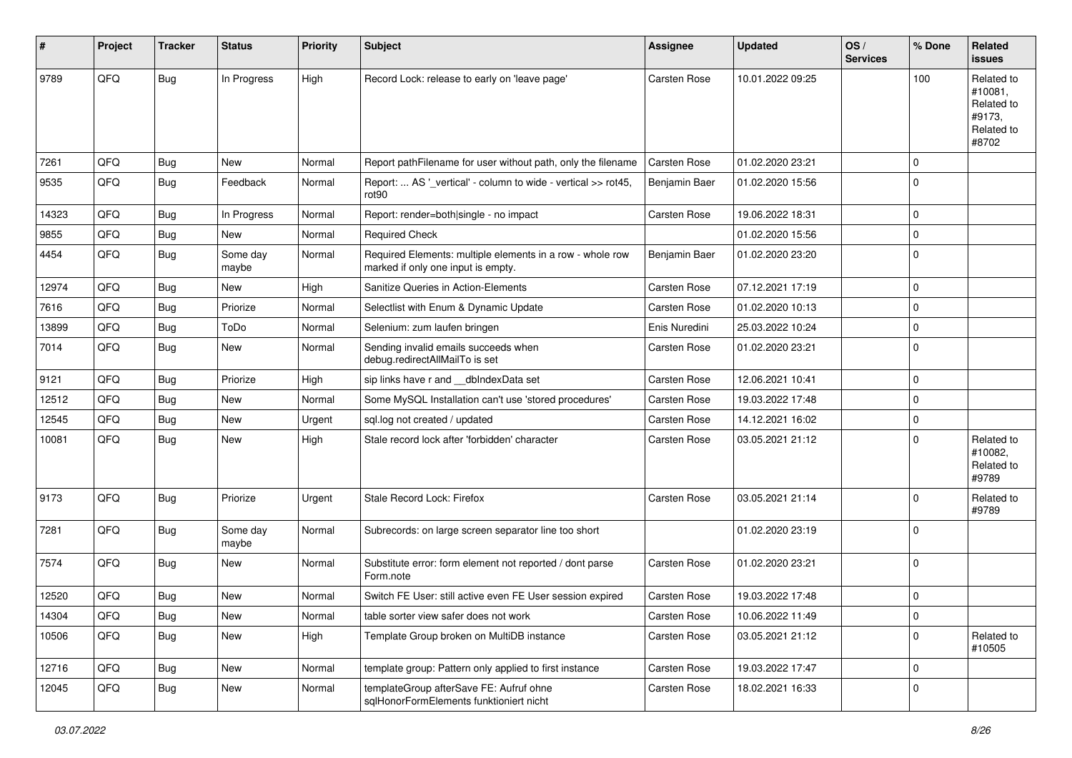| #     | Project | <b>Tracker</b> | <b>Status</b>     | <b>Priority</b> | Subject                                                                                         | <b>Assignee</b>     | <b>Updated</b>   | OS/<br><b>Services</b> | % Done      | Related<br><b>issues</b>                                             |
|-------|---------|----------------|-------------------|-----------------|-------------------------------------------------------------------------------------------------|---------------------|------------------|------------------------|-------------|----------------------------------------------------------------------|
| 9789  | QFQ     | <b>Bug</b>     | In Progress       | High            | Record Lock: release to early on 'leave page'                                                   | Carsten Rose        | 10.01.2022 09:25 |                        | 100         | Related to<br>#10081,<br>Related to<br>#9173,<br>Related to<br>#8702 |
| 7261  | QFQ     | <b>Bug</b>     | <b>New</b>        | Normal          | Report pathFilename for user without path, only the filename                                    | <b>Carsten Rose</b> | 01.02.2020 23:21 |                        | 0           |                                                                      |
| 9535  | QFQ     | <b>Bug</b>     | Feedback          | Normal          | Report:  AS '_vertical' - column to wide - vertical >> rot45,<br>rot90                          | Benjamin Baer       | 01.02.2020 15:56 |                        | $\Omega$    |                                                                      |
| 14323 | QFQ     | <b>Bug</b>     | In Progress       | Normal          | Report: render=both single - no impact                                                          | <b>Carsten Rose</b> | 19.06.2022 18:31 |                        | 0           |                                                                      |
| 9855  | QFQ     | <b>Bug</b>     | New               | Normal          | <b>Required Check</b>                                                                           |                     | 01.02.2020 15:56 |                        | $\mathbf 0$ |                                                                      |
| 4454  | QFQ     | <b>Bug</b>     | Some day<br>maybe | Normal          | Required Elements: multiple elements in a row - whole row<br>marked if only one input is empty. | Benjamin Baer       | 01.02.2020 23:20 |                        | 0           |                                                                      |
| 12974 | QFQ     | <b>Bug</b>     | New               | High            | Sanitize Queries in Action-Elements                                                             | Carsten Rose        | 07.12.2021 17:19 |                        | 0           |                                                                      |
| 7616  | QFQ     | <b>Bug</b>     | Priorize          | Normal          | Selectlist with Enum & Dynamic Update                                                           | Carsten Rose        | 01.02.2020 10:13 |                        | 0           |                                                                      |
| 13899 | QFQ     | <b>Bug</b>     | ToDo              | Normal          | Selenium: zum laufen bringen                                                                    | Enis Nuredini       | 25.03.2022 10:24 |                        | $\mathbf 0$ |                                                                      |
| 7014  | QFQ     | <b>Bug</b>     | New               | Normal          | Sending invalid emails succeeds when<br>debug.redirectAllMailTo is set                          | Carsten Rose        | 01.02.2020 23:21 |                        | 0           |                                                                      |
| 9121  | QFQ     | <b>Bug</b>     | Priorize          | High            | sip links have r and dblndexData set                                                            | Carsten Rose        | 12.06.2021 10:41 |                        | 0           |                                                                      |
| 12512 | QFQ     | <b>Bug</b>     | <b>New</b>        | Normal          | Some MySQL Installation can't use 'stored procedures'                                           | Carsten Rose        | 19.03.2022 17:48 |                        | 0           |                                                                      |
| 12545 | QFQ     | <b>Bug</b>     | New               | Urgent          | sql.log not created / updated                                                                   | Carsten Rose        | 14.12.2021 16:02 |                        | 0           |                                                                      |
| 10081 | QFQ     | Bug            | New               | High            | Stale record lock after 'forbidden' character                                                   | Carsten Rose        | 03.05.2021 21:12 |                        | 0           | Related to<br>#10082,<br>Related to<br>#9789                         |
| 9173  | QFQ     | <b>Bug</b>     | Priorize          | Urgent          | Stale Record Lock: Firefox                                                                      | Carsten Rose        | 03.05.2021 21:14 |                        | 0           | Related to<br>#9789                                                  |
| 7281  | QFQ     | Bug            | Some day<br>maybe | Normal          | Subrecords: on large screen separator line too short                                            |                     | 01.02.2020 23:19 |                        | 0           |                                                                      |
| 7574  | QFQ     | Bug            | New               | Normal          | Substitute error: form element not reported / dont parse<br>Form.note                           | Carsten Rose        | 01.02.2020 23:21 |                        | 0           |                                                                      |
| 12520 | QFQ     | <b>Bug</b>     | New               | Normal          | Switch FE User: still active even FE User session expired                                       | Carsten Rose        | 19.03.2022 17:48 |                        | 0           |                                                                      |
| 14304 | QFQ     | Bug            | New               | Normal          | table sorter view safer does not work                                                           | Carsten Rose        | 10.06.2022 11:49 |                        | 0           |                                                                      |
| 10506 | QFQ     | <b>Bug</b>     | New               | High            | Template Group broken on MultiDB instance                                                       | Carsten Rose        | 03.05.2021 21:12 |                        | 0           | Related to<br>#10505                                                 |
| 12716 | QFQ     | Bug            | New               | Normal          | template group: Pattern only applied to first instance                                          | Carsten Rose        | 19.03.2022 17:47 |                        | 0           |                                                                      |
| 12045 | QFQ     | Bug            | New               | Normal          | templateGroup afterSave FE: Aufruf ohne<br>sqlHonorFormElements funktioniert nicht              | Carsten Rose        | 18.02.2021 16:33 |                        | 0           |                                                                      |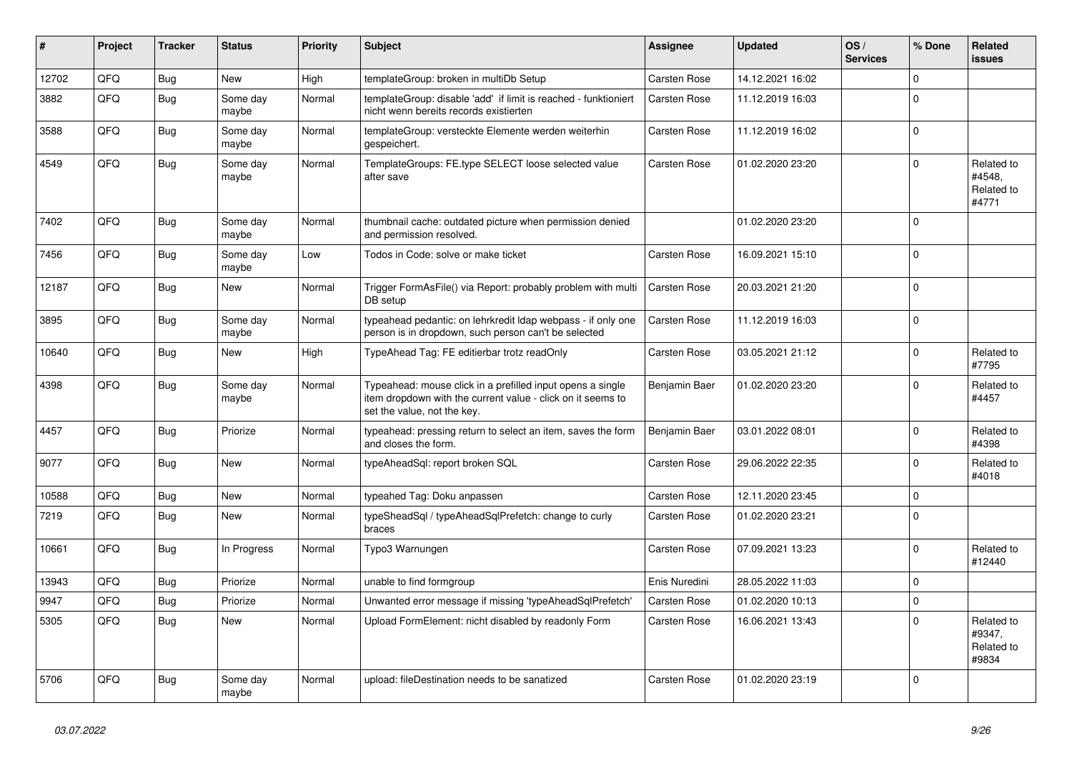| #     | Project | <b>Tracker</b> | <b>Status</b>     | <b>Priority</b> | <b>Subject</b>                                                                                                                                           | Assignee            | Updated          | OS/<br><b>Services</b> | % Done      | Related<br><b>issues</b>                    |
|-------|---------|----------------|-------------------|-----------------|----------------------------------------------------------------------------------------------------------------------------------------------------------|---------------------|------------------|------------------------|-------------|---------------------------------------------|
| 12702 | QFQ     | <b>Bug</b>     | <b>New</b>        | High            | templateGroup: broken in multiDb Setup                                                                                                                   | <b>Carsten Rose</b> | 14.12.2021 16:02 |                        | $\Omega$    |                                             |
| 3882  | QFQ     | <b>Bug</b>     | Some day<br>maybe | Normal          | templateGroup: disable 'add' if limit is reached - funktioniert<br>nicht wenn bereits records existierten                                                | Carsten Rose        | 11.12.2019 16:03 |                        | $\Omega$    |                                             |
| 3588  | QFQ     | <b>Bug</b>     | Some day<br>maybe | Normal          | templateGroup: versteckte Elemente werden weiterhin<br>gespeichert.                                                                                      | Carsten Rose        | 11.12.2019 16:02 |                        | $\mathbf 0$ |                                             |
| 4549  | QFQ     | <b>Bug</b>     | Some day<br>maybe | Normal          | TemplateGroups: FE.type SELECT loose selected value<br>after save                                                                                        | Carsten Rose        | 01.02.2020 23:20 |                        | $\mathbf 0$ | Related to<br>#4548,<br>Related to<br>#4771 |
| 7402  | QFQ     | Bug            | Some day<br>maybe | Normal          | thumbnail cache: outdated picture when permission denied<br>and permission resolved.                                                                     |                     | 01.02.2020 23:20 |                        | $\mathbf 0$ |                                             |
| 7456  | QFQ     | <b>Bug</b>     | Some day<br>maybe | Low             | Todos in Code: solve or make ticket                                                                                                                      | Carsten Rose        | 16.09.2021 15:10 |                        | $\mathbf 0$ |                                             |
| 12187 | QFQ     | <b>Bug</b>     | New               | Normal          | Trigger FormAsFile() via Report: probably problem with multi<br>DB setup                                                                                 | <b>Carsten Rose</b> | 20.03.2021 21:20 |                        | $\mathbf 0$ |                                             |
| 3895  | QFQ     | <b>Bug</b>     | Some day<br>maybe | Normal          | typeahead pedantic: on lehrkredit Idap webpass - if only one<br>person is in dropdown, such person can't be selected                                     | Carsten Rose        | 11.12.2019 16:03 |                        | $\Omega$    |                                             |
| 10640 | QFQ     | Bug            | New               | High            | TypeAhead Tag: FE editierbar trotz readOnly                                                                                                              | Carsten Rose        | 03.05.2021 21:12 |                        | $\mathbf 0$ | Related to<br>#7795                         |
| 4398  | QFQ     | <b>Bug</b>     | Some day<br>maybe | Normal          | Typeahead: mouse click in a prefilled input opens a single<br>item dropdown with the current value - click on it seems to<br>set the value, not the key. | Benjamin Baer       | 01.02.2020 23:20 |                        | $\Omega$    | Related to<br>#4457                         |
| 4457  | QFQ     | <b>Bug</b>     | Priorize          | Normal          | typeahead: pressing return to select an item, saves the form<br>and closes the form.                                                                     | Benjamin Baer       | 03.01.2022 08:01 |                        | $\mathbf 0$ | Related to<br>#4398                         |
| 9077  | QFQ     | <b>Bug</b>     | New               | Normal          | typeAheadSql: report broken SQL                                                                                                                          | Carsten Rose        | 29.06.2022 22:35 |                        | $\Omega$    | Related to<br>#4018                         |
| 10588 | QFQ     | Bug            | New               | Normal          | typeahed Tag: Doku anpassen                                                                                                                              | <b>Carsten Rose</b> | 12.11.2020 23:45 |                        | $\mathbf 0$ |                                             |
| 7219  | QFQ     | Bug            | New               | Normal          | typeSheadSql / typeAheadSqlPrefetch: change to curly<br>braces                                                                                           | <b>Carsten Rose</b> | 01.02.2020 23:21 |                        | $\Omega$    |                                             |
| 10661 | QFQ     | Bug            | In Progress       | Normal          | Typo3 Warnungen                                                                                                                                          | Carsten Rose        | 07.09.2021 13:23 |                        | $\Omega$    | Related to<br>#12440                        |
| 13943 | QFQ     | Bug            | Priorize          | Normal          | unable to find formgroup                                                                                                                                 | Enis Nuredini       | 28.05.2022 11:03 |                        | $\mathbf 0$ |                                             |
| 9947  | QFQ     | Bug            | Priorize          | Normal          | Unwanted error message if missing 'typeAheadSqlPrefetch'                                                                                                 | <b>Carsten Rose</b> | 01.02.2020 10:13 |                        | $\mathbf 0$ |                                             |
| 5305  | QFQ     | Bug            | New               | Normal          | Upload FormElement: nicht disabled by readonly Form                                                                                                      | Carsten Rose        | 16.06.2021 13:43 |                        | $\mathbf 0$ | Related to<br>#9347,<br>Related to<br>#9834 |
| 5706  | QFQ     | Bug            | Some day<br>maybe | Normal          | upload: fileDestination needs to be sanatized                                                                                                            | <b>Carsten Rose</b> | 01.02.2020 23:19 |                        | $\mathbf 0$ |                                             |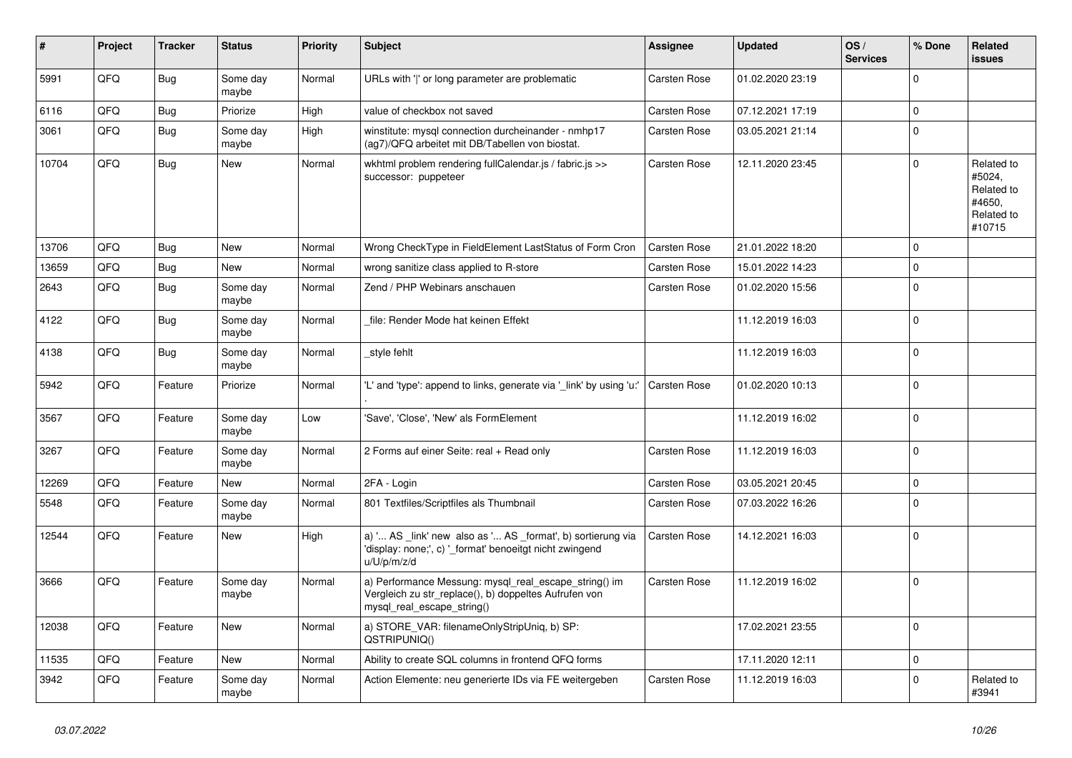| #     | Project | <b>Tracker</b> | <b>Status</b>     | <b>Priority</b> | <b>Subject</b>                                                                                                                               | Assignee            | Updated          | OS/<br><b>Services</b> | % Done      | Related<br><b>issues</b>                                             |
|-------|---------|----------------|-------------------|-----------------|----------------------------------------------------------------------------------------------------------------------------------------------|---------------------|------------------|------------------------|-------------|----------------------------------------------------------------------|
| 5991  | QFQ     | Bug            | Some day<br>maybe | Normal          | URLs with 'I' or long parameter are problematic                                                                                              | Carsten Rose        | 01.02.2020 23:19 |                        | $\Omega$    |                                                                      |
| 6116  | QFQ     | <b>Bug</b>     | Priorize          | High            | value of checkbox not saved                                                                                                                  | Carsten Rose        | 07.12.2021 17:19 |                        | $\mathbf 0$ |                                                                      |
| 3061  | QFQ     | <b>Bug</b>     | Some day<br>maybe | High            | winstitute: mysql connection durcheinander - nmhp17<br>(ag7)/QFQ arbeitet mit DB/Tabellen von biostat.                                       | Carsten Rose        | 03.05.2021 21:14 |                        | $\Omega$    |                                                                      |
| 10704 | QFQ     | <b>Bug</b>     | <b>New</b>        | Normal          | wkhtml problem rendering fullCalendar.js / fabric.js >><br>successor: puppeteer                                                              | Carsten Rose        | 12.11.2020 23:45 |                        | $\mathbf 0$ | Related to<br>#5024,<br>Related to<br>#4650.<br>Related to<br>#10715 |
| 13706 | QFQ     | Bug            | New               | Normal          | Wrong CheckType in FieldElement LastStatus of Form Cron                                                                                      | Carsten Rose        | 21.01.2022 18:20 |                        | $\mathbf 0$ |                                                                      |
| 13659 | QFQ     | Bug            | New               | Normal          | wrong sanitize class applied to R-store                                                                                                      | Carsten Rose        | 15.01.2022 14:23 |                        | $\mathbf 0$ |                                                                      |
| 2643  | QFQ     | <b>Bug</b>     | Some day<br>maybe | Normal          | Zend / PHP Webinars anschauen                                                                                                                | Carsten Rose        | 01.02.2020 15:56 |                        | $\mathbf 0$ |                                                                      |
| 4122  | QFQ     | Bug            | Some day<br>maybe | Normal          | file: Render Mode hat keinen Effekt                                                                                                          |                     | 11.12.2019 16:03 |                        | $\mathbf 0$ |                                                                      |
| 4138  | QFQ     | <b>Bug</b>     | Some day<br>maybe | Normal          | style fehlt                                                                                                                                  |                     | 11.12.2019 16:03 |                        | $\Omega$    |                                                                      |
| 5942  | QFQ     | Feature        | Priorize          | Normal          | 'L' and 'type': append to links, generate via 'link' by using 'u:'                                                                           | <b>Carsten Rose</b> | 01.02.2020 10:13 |                        | $\mathbf 0$ |                                                                      |
| 3567  | QFQ     | Feature        | Some day<br>maybe | Low             | 'Save', 'Close', 'New' als FormElement                                                                                                       |                     | 11.12.2019 16:02 |                        | $\mathbf 0$ |                                                                      |
| 3267  | QFQ     | Feature        | Some day<br>maybe | Normal          | 2 Forms auf einer Seite: real + Read only                                                                                                    | Carsten Rose        | 11.12.2019 16:03 |                        | $\mathbf 0$ |                                                                      |
| 12269 | QFQ     | Feature        | <b>New</b>        | Normal          | 2FA - Login                                                                                                                                  | Carsten Rose        | 03.05.2021 20:45 |                        | $\mathbf 0$ |                                                                      |
| 5548  | QFQ     | Feature        | Some day<br>maybe | Normal          | 801 Textfiles/Scriptfiles als Thumbnail                                                                                                      | Carsten Rose        | 07.03.2022 16:26 |                        | $\Omega$    |                                                                      |
| 12544 | QFQ     | Feature        | New               | High            | a) ' AS link' new also as ' AS format', b) sortierung via<br>'display: none;', c) '_format' benoeitgt nicht zwingend<br>u/U/p/m/z/d          | Carsten Rose        | 14.12.2021 16:03 |                        | $\Omega$    |                                                                      |
| 3666  | QFQ     | Feature        | Some day<br>maybe | Normal          | a) Performance Messung: mysql_real_escape_string() im<br>Vergleich zu str_replace(), b) doppeltes Aufrufen von<br>mysql_real_escape_string() | Carsten Rose        | 11.12.2019 16:02 |                        | $\mathbf 0$ |                                                                      |
| 12038 | QFQ     | Feature        | New               | Normal          | a) STORE_VAR: filenameOnlyStripUniq, b) SP:<br>QSTRIPUNIQ()                                                                                  |                     | 17.02.2021 23:55 |                        | $\mathbf 0$ |                                                                      |
| 11535 | QFQ     | Feature        | <b>New</b>        | Normal          | Ability to create SQL columns in frontend QFQ forms                                                                                          |                     | 17.11.2020 12:11 |                        | $\mathbf 0$ |                                                                      |
| 3942  | QFQ     | Feature        | Some day<br>maybe | Normal          | Action Elemente: neu generierte IDs via FE weitergeben                                                                                       | Carsten Rose        | 11.12.2019 16:03 |                        | $\mathbf 0$ | Related to<br>#3941                                                  |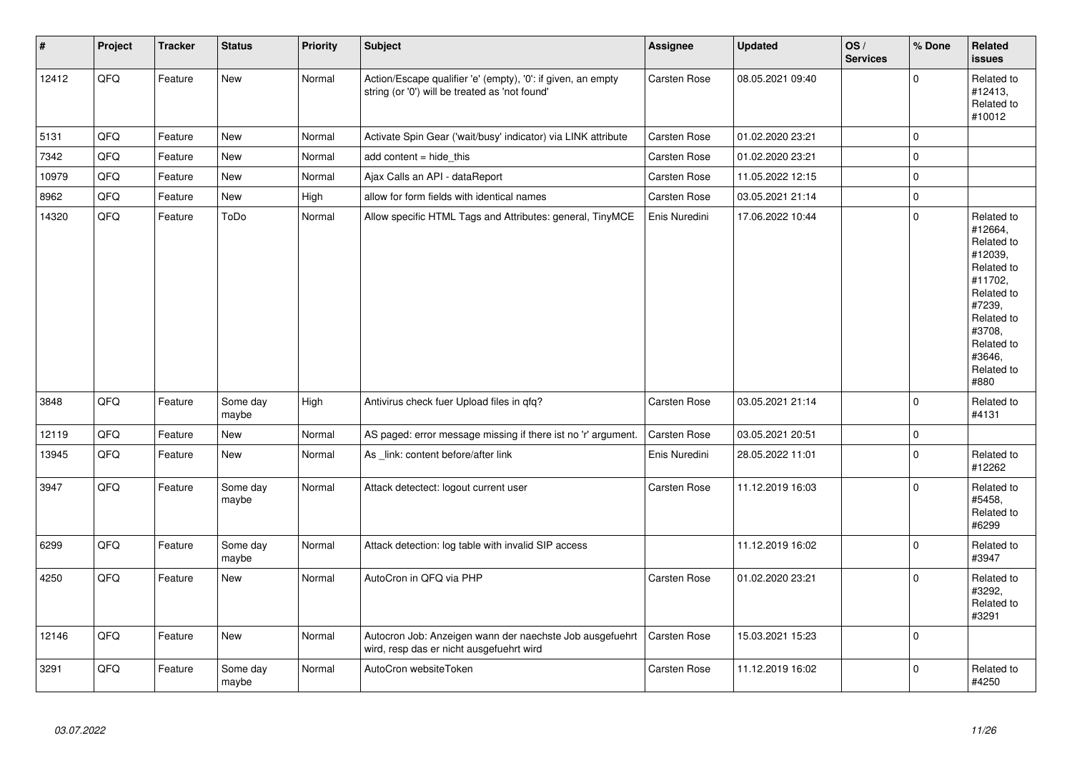| $\vert$ # | Project | <b>Tracker</b> | <b>Status</b>     | <b>Priority</b> | <b>Subject</b>                                                                                                 | <b>Assignee</b>     | <b>Updated</b>   | OS/<br><b>Services</b> | % Done       | Related<br><b>issues</b>                                                                                                                                              |
|-----------|---------|----------------|-------------------|-----------------|----------------------------------------------------------------------------------------------------------------|---------------------|------------------|------------------------|--------------|-----------------------------------------------------------------------------------------------------------------------------------------------------------------------|
| 12412     | QFQ     | Feature        | New               | Normal          | Action/Escape qualifier 'e' (empty), '0': if given, an empty<br>string (or '0') will be treated as 'not found' | Carsten Rose        | 08.05.2021 09:40 |                        | $\Omega$     | Related to<br>#12413,<br>Related to<br>#10012                                                                                                                         |
| 5131      | QFQ     | Feature        | <b>New</b>        | Normal          | Activate Spin Gear ('wait/busy' indicator) via LINK attribute                                                  | Carsten Rose        | 01.02.2020 23:21 |                        | $\mathbf 0$  |                                                                                                                                                                       |
| 7342      | QFQ     | Feature        | <b>New</b>        | Normal          | add content = hide this                                                                                        | <b>Carsten Rose</b> | 01.02.2020 23:21 |                        | $\mathsf 0$  |                                                                                                                                                                       |
| 10979     | QFQ     | Feature        | New               | Normal          | Ajax Calls an API - dataReport                                                                                 | Carsten Rose        | 11.05.2022 12:15 |                        | $\pmb{0}$    |                                                                                                                                                                       |
| 8962      | QFQ     | Feature        | New               | High            | allow for form fields with identical names                                                                     | Carsten Rose        | 03.05.2021 21:14 |                        | $\pmb{0}$    |                                                                                                                                                                       |
| 14320     | QFQ     | Feature        | ToDo              | Normal          | Allow specific HTML Tags and Attributes: general, TinyMCE                                                      | Enis Nuredini       | 17.06.2022 10:44 |                        | $\Omega$     | Related to<br>#12664,<br>Related to<br>#12039,<br>Related to<br>#11702,<br>Related to<br>#7239,<br>Related to<br>#3708,<br>Related to<br>#3646.<br>Related to<br>#880 |
| 3848      | QFQ     | Feature        | Some day<br>maybe | High            | Antivirus check fuer Upload files in qfq?                                                                      | Carsten Rose        | 03.05.2021 21:14 |                        | $\mathbf{0}$ | Related to<br>#4131                                                                                                                                                   |
| 12119     | QFQ     | Feature        | <b>New</b>        | Normal          | AS paged: error message missing if there ist no 'r' argument.                                                  | <b>Carsten Rose</b> | 03.05.2021 20:51 |                        | $\pmb{0}$    |                                                                                                                                                                       |
| 13945     | QFQ     | Feature        | <b>New</b>        | Normal          | As link: content before/after link                                                                             | Enis Nuredini       | 28.05.2022 11:01 |                        | $\mathsf 0$  | Related to<br>#12262                                                                                                                                                  |
| 3947      | QFQ     | Feature        | Some day<br>maybe | Normal          | Attack detectect: logout current user                                                                          | <b>Carsten Rose</b> | 11.12.2019 16:03 |                        | $\mathbf 0$  | Related to<br>#5458,<br>Related to<br>#6299                                                                                                                           |
| 6299      | QFQ     | Feature        | Some day<br>maybe | Normal          | Attack detection: log table with invalid SIP access                                                            |                     | 11.12.2019 16:02 |                        | $\mathbf 0$  | Related to<br>#3947                                                                                                                                                   |
| 4250      | QFQ     | Feature        | <b>New</b>        | Normal          | AutoCron in QFQ via PHP                                                                                        | <b>Carsten Rose</b> | 01.02.2020 23:21 |                        | $\Omega$     | Related to<br>#3292,<br>Related to<br>#3291                                                                                                                           |
| 12146     | QFQ     | Feature        | New               | Normal          | Autocron Job: Anzeigen wann der naechste Job ausgefuehrt<br>wird, resp das er nicht ausgefuehrt wird           | <b>Carsten Rose</b> | 15.03.2021 15:23 |                        | $\mathbf 0$  |                                                                                                                                                                       |
| 3291      | QFQ     | Feature        | Some day<br>maybe | Normal          | AutoCron websiteToken                                                                                          | <b>Carsten Rose</b> | 11.12.2019 16:02 |                        | $\mathbf 0$  | Related to<br>#4250                                                                                                                                                   |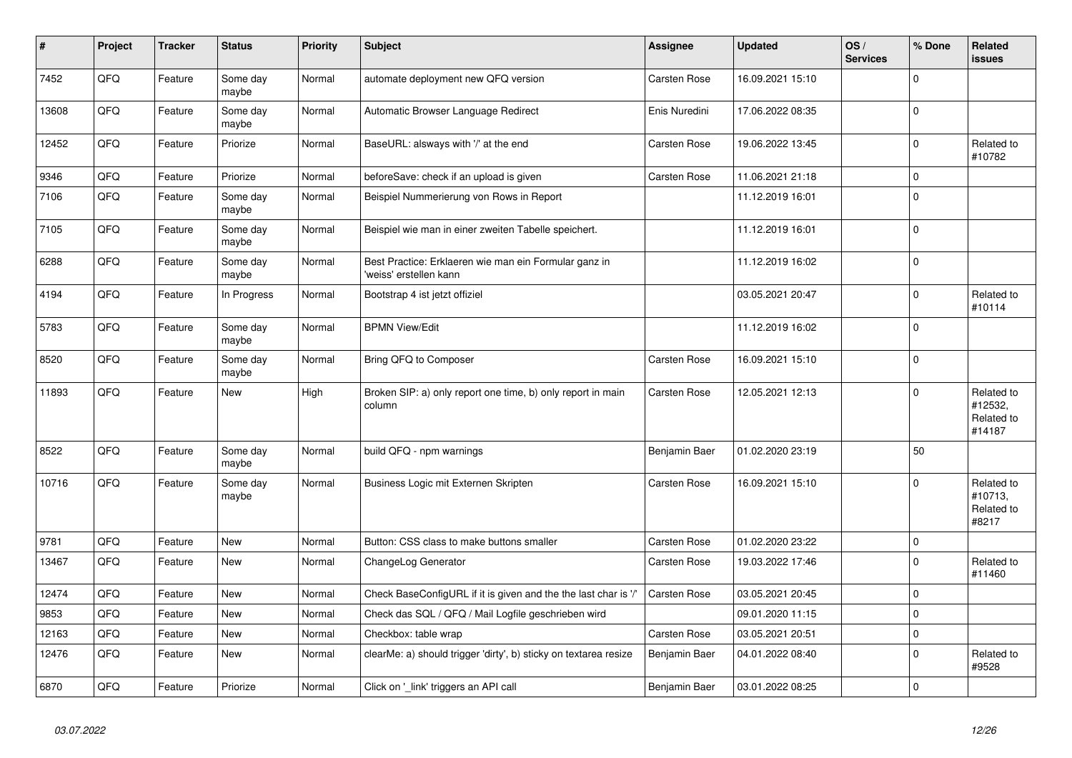| $\vert$ # | Project | <b>Tracker</b> | <b>Status</b>     | <b>Priority</b> | <b>Subject</b>                                                                  | Assignee            | <b>Updated</b>   | OS/<br><b>Services</b> | % Done         | Related<br><b>issues</b>                      |
|-----------|---------|----------------|-------------------|-----------------|---------------------------------------------------------------------------------|---------------------|------------------|------------------------|----------------|-----------------------------------------------|
| 7452      | QFQ     | Feature        | Some day<br>maybe | Normal          | automate deployment new QFQ version                                             | <b>Carsten Rose</b> | 16.09.2021 15:10 |                        | $\mathbf 0$    |                                               |
| 13608     | QFQ     | Feature        | Some day<br>maybe | Normal          | Automatic Browser Language Redirect                                             | Enis Nuredini       | 17.06.2022 08:35 |                        | $\mathbf 0$    |                                               |
| 12452     | QFQ     | Feature        | Priorize          | Normal          | BaseURL: alsways with '/' at the end                                            | Carsten Rose        | 19.06.2022 13:45 |                        | $\Omega$       | Related to<br>#10782                          |
| 9346      | QFQ     | Feature        | Priorize          | Normal          | beforeSave: check if an upload is given                                         | Carsten Rose        | 11.06.2021 21:18 |                        | $\mathbf 0$    |                                               |
| 7106      | QFQ     | Feature        | Some day<br>maybe | Normal          | Beispiel Nummerierung von Rows in Report                                        |                     | 11.12.2019 16:01 |                        | $\mathbf 0$    |                                               |
| 7105      | QFQ     | Feature        | Some day<br>maybe | Normal          | Beispiel wie man in einer zweiten Tabelle speichert.                            |                     | 11.12.2019 16:01 |                        | $\Omega$       |                                               |
| 6288      | QFQ     | Feature        | Some day<br>maybe | Normal          | Best Practice: Erklaeren wie man ein Formular ganz in<br>'weiss' erstellen kann |                     | 11.12.2019 16:02 |                        | $\mathbf 0$    |                                               |
| 4194      | QFQ     | Feature        | In Progress       | Normal          | Bootstrap 4 ist jetzt offiziel                                                  |                     | 03.05.2021 20:47 |                        | $\mathbf 0$    | Related to<br>#10114                          |
| 5783      | QFQ     | Feature        | Some day<br>maybe | Normal          | <b>BPMN View/Edit</b>                                                           |                     | 11.12.2019 16:02 |                        | $\Omega$       |                                               |
| 8520      | QFQ     | Feature        | Some day<br>maybe | Normal          | Bring QFQ to Composer                                                           | <b>Carsten Rose</b> | 16.09.2021 15:10 |                        | $\Omega$       |                                               |
| 11893     | QFQ     | Feature        | New               | High            | Broken SIP: a) only report one time, b) only report in main<br>column           | Carsten Rose        | 12.05.2021 12:13 |                        | $\mathbf 0$    | Related to<br>#12532,<br>Related to<br>#14187 |
| 8522      | QFQ     | Feature        | Some day<br>maybe | Normal          | build QFQ - npm warnings                                                        | Benjamin Baer       | 01.02.2020 23:19 |                        | 50             |                                               |
| 10716     | QFQ     | Feature        | Some day<br>maybe | Normal          | Business Logic mit Externen Skripten                                            | Carsten Rose        | 16.09.2021 15:10 |                        | $\Omega$       | Related to<br>#10713,<br>Related to<br>#8217  |
| 9781      | QFQ     | Feature        | <b>New</b>        | Normal          | Button: CSS class to make buttons smaller                                       | Carsten Rose        | 01.02.2020 23:22 |                        | $\pmb{0}$      |                                               |
| 13467     | QFQ     | Feature        | New               | Normal          | ChangeLog Generator                                                             | <b>Carsten Rose</b> | 19.03.2022 17:46 |                        | $\Omega$       | Related to<br>#11460                          |
| 12474     | QFQ     | Feature        | <b>New</b>        | Normal          | Check BaseConfigURL if it is given and the the last char is '/'                 | Carsten Rose        | 03.05.2021 20:45 |                        | $\mathbf 0$    |                                               |
| 9853      | QFQ     | Feature        | <b>New</b>        | Normal          | Check das SQL / QFQ / Mail Logfile geschrieben wird                             |                     | 09.01.2020 11:15 |                        | $\overline{0}$ |                                               |
| 12163     | QFQ     | Feature        | <b>New</b>        | Normal          | Checkbox: table wrap                                                            | Carsten Rose        | 03.05.2021 20:51 |                        | $\mathbf 0$    |                                               |
| 12476     | QFQ     | Feature        | <b>New</b>        | Normal          | clearMe: a) should trigger 'dirty', b) sticky on textarea resize                | Benjamin Baer       | 04.01.2022 08:40 |                        | $\Omega$       | Related to<br>#9528                           |
| 6870      | QFQ     | Feature        | Priorize          | Normal          | Click on '_link' triggers an API call                                           | Benjamin Baer       | 03.01.2022 08:25 |                        | 0              |                                               |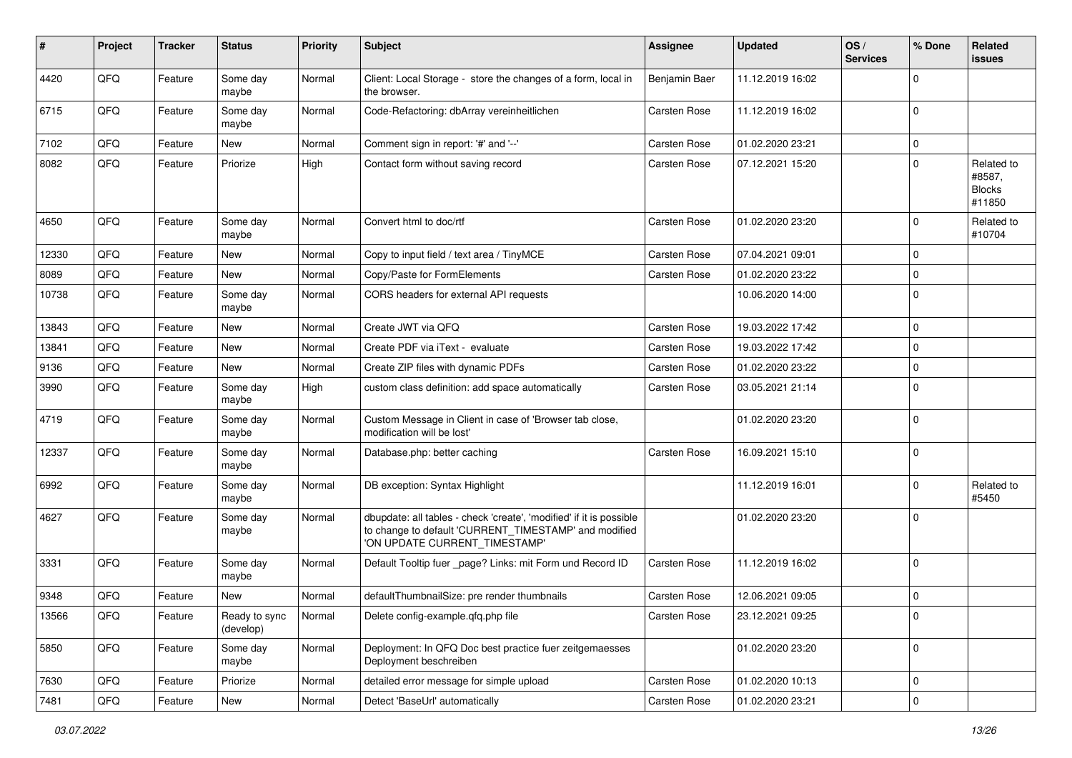| #     | Project | <b>Tracker</b> | <b>Status</b>              | <b>Priority</b> | <b>Subject</b>                                                                                                                                                | Assignee            | <b>Updated</b>   | OS/<br><b>Services</b> | % Done              | <b>Related</b><br>issues                        |
|-------|---------|----------------|----------------------------|-----------------|---------------------------------------------------------------------------------------------------------------------------------------------------------------|---------------------|------------------|------------------------|---------------------|-------------------------------------------------|
| 4420  | QFQ     | Feature        | Some day<br>maybe          | Normal          | Client: Local Storage - store the changes of a form, local in<br>the browser.                                                                                 | Benjamin Baer       | 11.12.2019 16:02 |                        | $\mathbf 0$         |                                                 |
| 6715  | QFQ     | Feature        | Some day<br>maybe          | Normal          | Code-Refactoring: dbArray vereinheitlichen                                                                                                                    | Carsten Rose        | 11.12.2019 16:02 |                        | $\mathbf 0$         |                                                 |
| 7102  | QFQ     | Feature        | New                        | Normal          | Comment sign in report: '#' and '--'                                                                                                                          | Carsten Rose        | 01.02.2020 23:21 |                        | $\mathbf 0$         |                                                 |
| 8082  | QFQ     | Feature        | Priorize                   | High            | Contact form without saving record                                                                                                                            | Carsten Rose        | 07.12.2021 15:20 |                        | $\mathbf 0$         | Related to<br>#8587,<br><b>Blocks</b><br>#11850 |
| 4650  | QFQ     | Feature        | Some day<br>maybe          | Normal          | Convert html to doc/rtf                                                                                                                                       | Carsten Rose        | 01.02.2020 23:20 |                        | $\mathbf 0$         | Related to<br>#10704                            |
| 12330 | QFQ     | Feature        | <b>New</b>                 | Normal          | Copy to input field / text area / TinyMCE                                                                                                                     | Carsten Rose        | 07.04.2021 09:01 |                        | $\mathbf 0$         |                                                 |
| 8089  | QFQ     | Feature        | <b>New</b>                 | Normal          | Copy/Paste for FormElements                                                                                                                                   | Carsten Rose        | 01.02.2020 23:22 |                        | $\mathbf 0$         |                                                 |
| 10738 | QFQ     | Feature        | Some day<br>maybe          | Normal          | CORS headers for external API requests                                                                                                                        |                     | 10.06.2020 14:00 |                        | $\mathbf 0$         |                                                 |
| 13843 | QFQ     | Feature        | <b>New</b>                 | Normal          | Create JWT via QFQ                                                                                                                                            | Carsten Rose        | 19.03.2022 17:42 |                        | $\mathbf 0$         |                                                 |
| 13841 | QFQ     | Feature        | New                        | Normal          | Create PDF via iText - evaluate                                                                                                                               | Carsten Rose        | 19.03.2022 17:42 |                        | $\mathbf 0$         |                                                 |
| 9136  | QFQ     | Feature        | New                        | Normal          | Create ZIP files with dynamic PDFs                                                                                                                            | Carsten Rose        | 01.02.2020 23:22 |                        | $\mathbf 0$         |                                                 |
| 3990  | QFQ     | Feature        | Some day<br>maybe          | High            | custom class definition: add space automatically                                                                                                              | Carsten Rose        | 03.05.2021 21:14 |                        | $\mathbf 0$         |                                                 |
| 4719  | QFQ     | Feature        | Some day<br>maybe          | Normal          | Custom Message in Client in case of 'Browser tab close,<br>modification will be lost'                                                                         |                     | 01.02.2020 23:20 |                        | $\mathbf 0$         |                                                 |
| 12337 | QFQ     | Feature        | Some day<br>maybe          | Normal          | Database.php: better caching                                                                                                                                  | Carsten Rose        | 16.09.2021 15:10 |                        | $\mathbf 0$         |                                                 |
| 6992  | QFQ     | Feature        | Some day<br>maybe          | Normal          | DB exception: Syntax Highlight                                                                                                                                |                     | 11.12.2019 16:01 |                        | $\mathbf 0$         | Related to<br>#5450                             |
| 4627  | QFQ     | Feature        | Some day<br>maybe          | Normal          | dbupdate: all tables - check 'create', 'modified' if it is possible<br>to change to default 'CURRENT_TIMESTAMP' and modified<br>'ON UPDATE CURRENT TIMESTAMP' |                     | 01.02.2020 23:20 |                        | $\mathbf 0$         |                                                 |
| 3331  | QFQ     | Feature        | Some day<br>maybe          | Normal          | Default Tooltip fuer _page? Links: mit Form und Record ID                                                                                                     | Carsten Rose        | 11.12.2019 16:02 |                        | $\mathbf 0$         |                                                 |
| 9348  | QFQ     | Feature        | <b>New</b>                 | Normal          | defaultThumbnailSize: pre render thumbnails                                                                                                                   | <b>Carsten Rose</b> | 12.06.2021 09:05 |                        | $\mathbf 0$         |                                                 |
| 13566 | QFG     | Feature        | Ready to sync<br>(develop) | Normal          | Delete config-example.qfq.php file                                                                                                                            | Carsten Rose        | 23.12.2021 09:25 |                        | $\mathbf 0$         |                                                 |
| 5850  | QFQ     | Feature        | Some day<br>maybe          | Normal          | Deployment: In QFQ Doc best practice fuer zeitgemaesses<br>Deployment beschreiben                                                                             |                     | 01.02.2020 23:20 |                        | $\mathbf 0$         |                                                 |
| 7630  | QFQ     | Feature        | Priorize                   | Normal          | detailed error message for simple upload                                                                                                                      | Carsten Rose        | 01.02.2020 10:13 |                        | $\mathbf 0$         |                                                 |
| 7481  | QFQ     | Feature        | New                        | Normal          | Detect 'BaseUrl' automatically                                                                                                                                | Carsten Rose        | 01.02.2020 23:21 |                        | $\mathsf{O}\xspace$ |                                                 |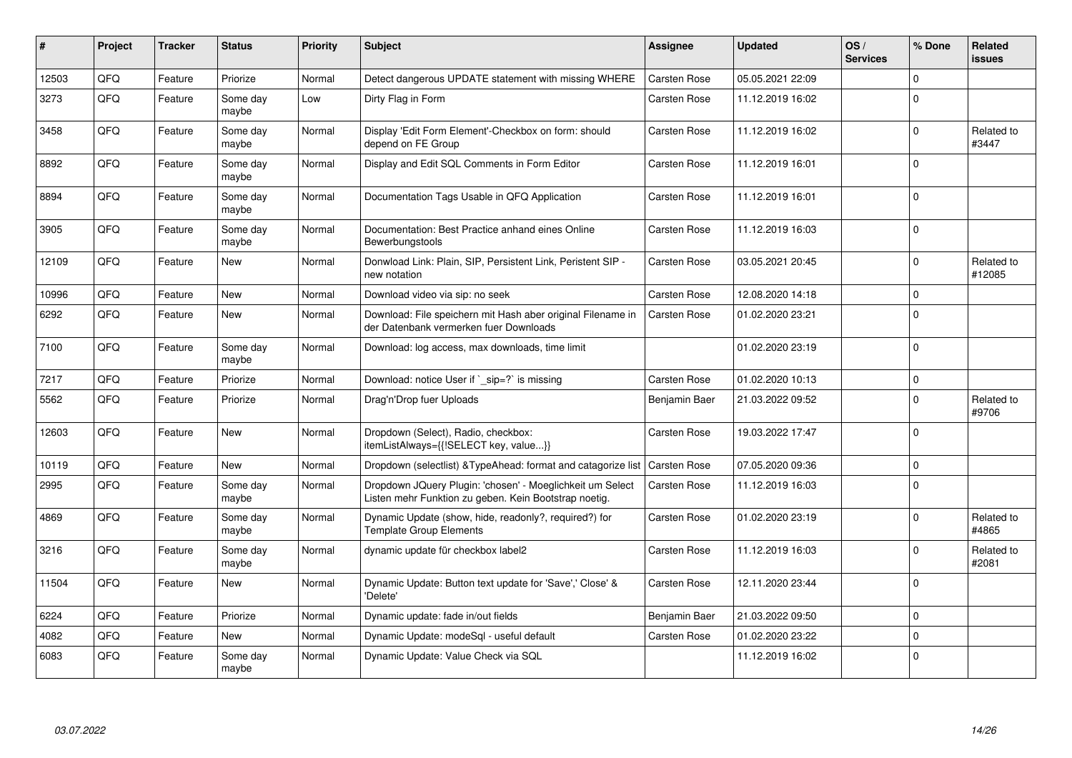| #     | Project | <b>Tracker</b> | <b>Status</b>     | <b>Priority</b> | Subject                                                                                                            | Assignee            | <b>Updated</b>   | OS/<br><b>Services</b> | % Done         | Related<br><b>issues</b> |
|-------|---------|----------------|-------------------|-----------------|--------------------------------------------------------------------------------------------------------------------|---------------------|------------------|------------------------|----------------|--------------------------|
| 12503 | QFQ     | Feature        | Priorize          | Normal          | Detect dangerous UPDATE statement with missing WHERE                                                               | Carsten Rose        | 05.05.2021 22:09 |                        | $\mathbf 0$    |                          |
| 3273  | QFQ     | Feature        | Some day<br>maybe | Low             | Dirty Flag in Form                                                                                                 | Carsten Rose        | 11.12.2019 16:02 |                        | $\mathbf 0$    |                          |
| 3458  | QFQ     | Feature        | Some day<br>maybe | Normal          | Display 'Edit Form Element'-Checkbox on form: should<br>depend on FE Group                                         | Carsten Rose        | 11.12.2019 16:02 |                        | $\Omega$       | Related to<br>#3447      |
| 8892  | QFQ     | Feature        | Some day<br>maybe | Normal          | Display and Edit SQL Comments in Form Editor                                                                       | Carsten Rose        | 11.12.2019 16:01 |                        | $\Omega$       |                          |
| 8894  | QFQ     | Feature        | Some day<br>maybe | Normal          | Documentation Tags Usable in QFQ Application                                                                       | <b>Carsten Rose</b> | 11.12.2019 16:01 |                        | $\mathbf 0$    |                          |
| 3905  | QFQ     | Feature        | Some day<br>maybe | Normal          | Documentation: Best Practice anhand eines Online<br>Bewerbungstools                                                | Carsten Rose        | 11.12.2019 16:03 |                        | $\mathbf 0$    |                          |
| 12109 | QFQ     | Feature        | New               | Normal          | Donwload Link: Plain, SIP, Persistent Link, Peristent SIP -<br>new notation                                        | Carsten Rose        | 03.05.2021 20:45 |                        | $\mathbf 0$    | Related to<br>#12085     |
| 10996 | QFQ     | Feature        | <b>New</b>        | Normal          | Download video via sip: no seek                                                                                    | Carsten Rose        | 12.08.2020 14:18 |                        | $\Omega$       |                          |
| 6292  | QFQ     | Feature        | <b>New</b>        | Normal          | Download: File speichern mit Hash aber original Filename in<br>der Datenbank vermerken fuer Downloads              | Carsten Rose        | 01.02.2020 23:21 |                        | $\mathbf 0$    |                          |
| 7100  | QFQ     | Feature        | Some day<br>maybe | Normal          | Download: log access, max downloads, time limit                                                                    |                     | 01.02.2020 23:19 |                        | $\Omega$       |                          |
| 7217  | QFQ     | Feature        | Priorize          | Normal          | Download: notice User if ` sip=?` is missing                                                                       | <b>Carsten Rose</b> | 01.02.2020 10:13 |                        | $\mathbf 0$    |                          |
| 5562  | QFQ     | Feature        | Priorize          | Normal          | Drag'n'Drop fuer Uploads                                                                                           | Benjamin Baer       | 21.03.2022 09:52 |                        | $\Omega$       | Related to<br>#9706      |
| 12603 | QFQ     | Feature        | <b>New</b>        | Normal          | Dropdown (Select), Radio, checkbox:<br>itemListAlways={{!SELECT key, value}}                                       | Carsten Rose        | 19.03.2022 17:47 |                        | $\overline{0}$ |                          |
| 10119 | QFQ     | Feature        | <b>New</b>        | Normal          | Dropdown (selectlist) & TypeAhead: format and catagorize list                                                      | <b>Carsten Rose</b> | 07.05.2020 09:36 |                        | 0              |                          |
| 2995  | QFQ     | Feature        | Some day<br>maybe | Normal          | Dropdown JQuery Plugin: 'chosen' - Moeglichkeit um Select<br>Listen mehr Funktion zu geben. Kein Bootstrap noetig. | <b>Carsten Rose</b> | 11.12.2019 16:03 |                        | $\mathbf 0$    |                          |
| 4869  | QFQ     | Feature        | Some day<br>maybe | Normal          | Dynamic Update (show, hide, readonly?, required?) for<br><b>Template Group Elements</b>                            | Carsten Rose        | 01.02.2020 23:19 |                        | $\mathbf 0$    | Related to<br>#4865      |
| 3216  | QFQ     | Feature        | Some day<br>maybe | Normal          | dynamic update für checkbox label2                                                                                 | Carsten Rose        | 11.12.2019 16:03 |                        | $\Omega$       | Related to<br>#2081      |
| 11504 | QFQ     | Feature        | <b>New</b>        | Normal          | Dynamic Update: Button text update for 'Save',' Close' &<br>'Delete'                                               | Carsten Rose        | 12.11.2020 23:44 |                        | 0              |                          |
| 6224  | QFQ     | Feature        | Priorize          | Normal          | Dynamic update: fade in/out fields                                                                                 | Benjamin Baer       | 21.03.2022 09:50 |                        | $\mathbf 0$    |                          |
| 4082  | QFQ     | Feature        | <b>New</b>        | Normal          | Dynamic Update: modeSql - useful default                                                                           | <b>Carsten Rose</b> | 01.02.2020 23:22 |                        | $\mathbf 0$    |                          |
| 6083  | QFQ     | Feature        | Some day<br>maybe | Normal          | Dynamic Update: Value Check via SQL                                                                                |                     | 11.12.2019 16:02 |                        | $\Omega$       |                          |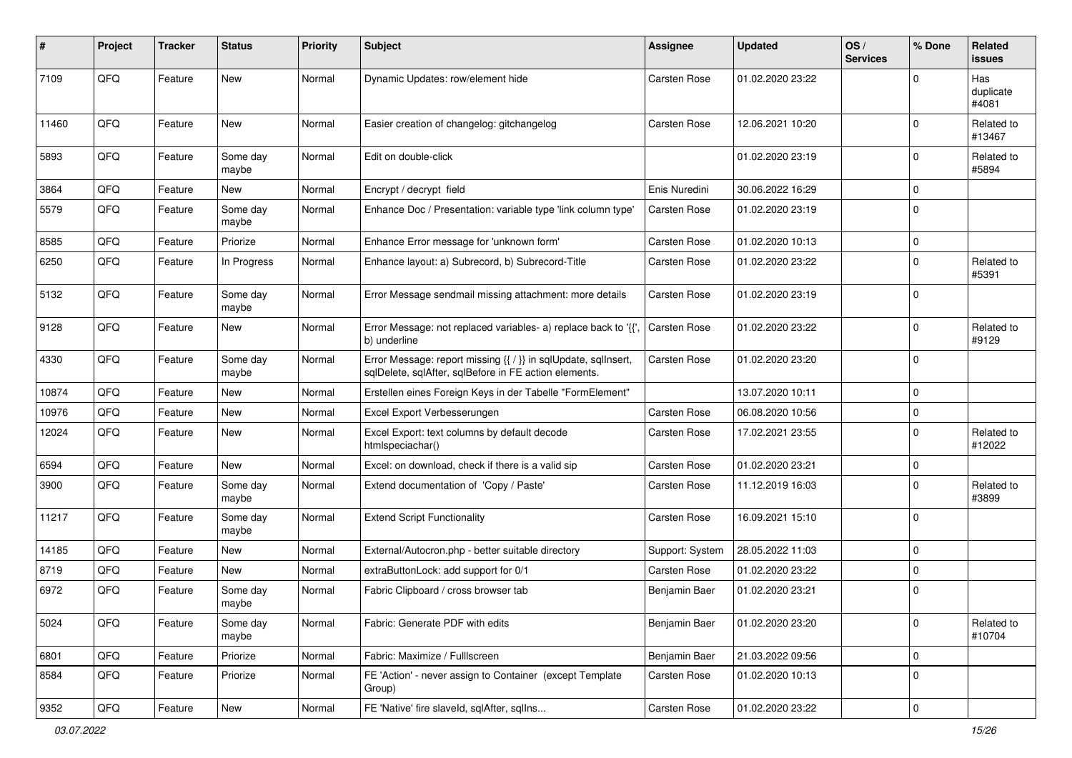| #     | Project | <b>Tracker</b> | <b>Status</b>     | <b>Priority</b> | <b>Subject</b>                                                                                                          | Assignee            | <b>Updated</b>   | OS/<br><b>Services</b> | % Done      | <b>Related</b><br><b>issues</b> |
|-------|---------|----------------|-------------------|-----------------|-------------------------------------------------------------------------------------------------------------------------|---------------------|------------------|------------------------|-------------|---------------------------------|
| 7109  | QFQ     | Feature        | <b>New</b>        | Normal          | Dynamic Updates: row/element hide                                                                                       | Carsten Rose        | 01.02.2020 23:22 |                        | $\Omega$    | Has<br>duplicate<br>#4081       |
| 11460 | QFQ     | Feature        | <b>New</b>        | Normal          | Easier creation of changelog: gitchangelog                                                                              | <b>Carsten Rose</b> | 12.06.2021 10:20 |                        | $\mathbf 0$ | Related to<br>#13467            |
| 5893  | QFQ     | Feature        | Some day<br>maybe | Normal          | Edit on double-click                                                                                                    |                     | 01.02.2020 23:19 |                        | $\mathbf 0$ | Related to<br>#5894             |
| 3864  | QFQ     | Feature        | New               | Normal          | Encrypt / decrypt field                                                                                                 | Enis Nuredini       | 30.06.2022 16:29 |                        | $\mathbf 0$ |                                 |
| 5579  | QFQ     | Feature        | Some day<br>maybe | Normal          | Enhance Doc / Presentation: variable type 'link column type'                                                            | Carsten Rose        | 01.02.2020 23:19 |                        | $\mathbf 0$ |                                 |
| 8585  | QFQ     | Feature        | Priorize          | Normal          | Enhance Error message for 'unknown form'                                                                                | Carsten Rose        | 01.02.2020 10:13 |                        | $\mathbf 0$ |                                 |
| 6250  | QFQ     | Feature        | In Progress       | Normal          | Enhance layout: a) Subrecord, b) Subrecord-Title                                                                        | Carsten Rose        | 01.02.2020 23:22 |                        | $\mathbf 0$ | Related to<br>#5391             |
| 5132  | QFQ     | Feature        | Some day<br>maybe | Normal          | Error Message sendmail missing attachment: more details                                                                 | Carsten Rose        | 01.02.2020 23:19 |                        | $\mathbf 0$ |                                 |
| 9128  | QFQ     | Feature        | New               | Normal          | Error Message: not replaced variables- a) replace back to '{'<br>b) underline                                           | Carsten Rose        | 01.02.2020 23:22 |                        | $\mathbf 0$ | Related to<br>#9129             |
| 4330  | QFQ     | Feature        | Some day<br>maybe | Normal          | Error Message: report missing {{ / }} in sqlUpdate, sqlInsert,<br>sqlDelete, sqlAfter, sqlBefore in FE action elements. | Carsten Rose        | 01.02.2020 23:20 |                        | $\mathbf 0$ |                                 |
| 10874 | QFQ     | Feature        | New               | Normal          | Erstellen eines Foreign Keys in der Tabelle "FormElement"                                                               |                     | 13.07.2020 10:11 |                        | $\mathbf 0$ |                                 |
| 10976 | QFQ     | Feature        | New               | Normal          | Excel Export Verbesserungen                                                                                             | <b>Carsten Rose</b> | 06.08.2020 10:56 |                        | $\mathbf 0$ |                                 |
| 12024 | QFQ     | Feature        | <b>New</b>        | Normal          | Excel Export: text columns by default decode<br>htmlspeciachar()                                                        | Carsten Rose        | 17.02.2021 23:55 |                        | $\mathbf 0$ | Related to<br>#12022            |
| 6594  | QFQ     | Feature        | <b>New</b>        | Normal          | Excel: on download, check if there is a valid sip                                                                       | Carsten Rose        | 01.02.2020 23:21 |                        | $\mathbf 0$ |                                 |
| 3900  | QFQ     | Feature        | Some day<br>maybe | Normal          | Extend documentation of 'Copy / Paste'                                                                                  | Carsten Rose        | 11.12.2019 16:03 |                        | $\mathbf 0$ | Related to<br>#3899             |
| 11217 | QFQ     | Feature        | Some day<br>maybe | Normal          | <b>Extend Script Functionality</b>                                                                                      | Carsten Rose        | 16.09.2021 15:10 |                        | $\mathbf 0$ |                                 |
| 14185 | QFQ     | Feature        | New               | Normal          | External/Autocron.php - better suitable directory                                                                       | Support: System     | 28.05.2022 11:03 |                        | $\mathbf 0$ |                                 |
| 8719  | QFQ     | Feature        | <b>New</b>        | Normal          | extraButtonLock: add support for 0/1                                                                                    | Carsten Rose        | 01.02.2020 23:22 |                        | $\mathbf 0$ |                                 |
| 6972  | QFQ     | Feature        | Some day<br>maybe | Normal          | Fabric Clipboard / cross browser tab                                                                                    | Benjamin Baer       | 01.02.2020 23:21 |                        | $\mathbf 0$ |                                 |
| 5024  | QFQ     | Feature        | Some day<br>maybe | Normal          | Fabric: Generate PDF with edits                                                                                         | Benjamin Baer       | 01.02.2020 23:20 |                        | $\mathbf 0$ | Related to<br>#10704            |
| 6801  | QFQ     | Feature        | Priorize          | Normal          | Fabric: Maximize / Fulllscreen                                                                                          | Benjamin Baer       | 21.03.2022 09:56 |                        | $\mathbf 0$ |                                 |
| 8584  | QFQ     | Feature        | Priorize          | Normal          | FE 'Action' - never assign to Container (except Template<br>Group)                                                      | Carsten Rose        | 01.02.2020 10:13 |                        | $\mathbf 0$ |                                 |
| 9352  | QFQ     | Feature        | New               | Normal          | FE 'Native' fire slaveld, sqlAfter, sqlIns                                                                              | Carsten Rose        | 01.02.2020 23:22 |                        | $\pmb{0}$   |                                 |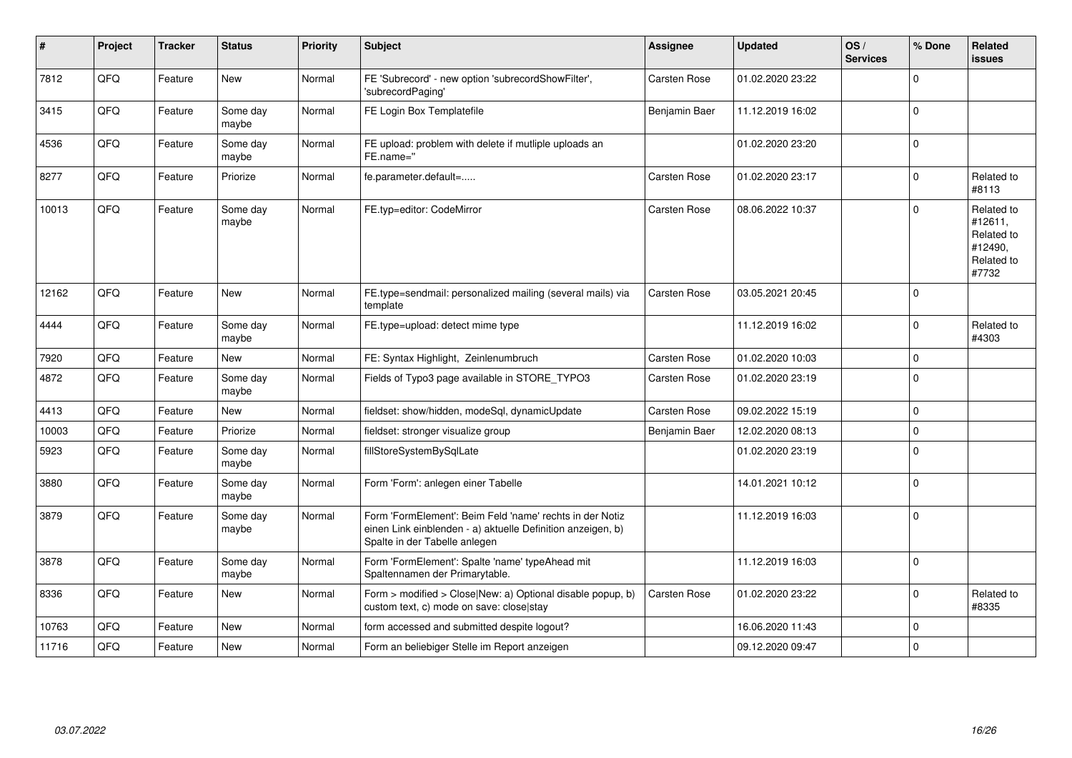| #     | Project | <b>Tracker</b> | <b>Status</b>     | <b>Priority</b> | <b>Subject</b>                                                                                                                                           | Assignee            | <b>Updated</b>   | OS/<br><b>Services</b> | % Done      | Related<br><b>issues</b>                                              |
|-------|---------|----------------|-------------------|-----------------|----------------------------------------------------------------------------------------------------------------------------------------------------------|---------------------|------------------|------------------------|-------------|-----------------------------------------------------------------------|
| 7812  | QFQ     | Feature        | <b>New</b>        | Normal          | FE 'Subrecord' - new option 'subrecordShowFilter',<br>'subrecordPaging'                                                                                  | Carsten Rose        | 01.02.2020 23:22 |                        | $\Omega$    |                                                                       |
| 3415  | QFQ     | Feature        | Some day<br>maybe | Normal          | FE Login Box Templatefile                                                                                                                                | Benjamin Baer       | 11.12.2019 16:02 |                        | $\Omega$    |                                                                       |
| 4536  | QFQ     | Feature        | Some day<br>maybe | Normal          | FE upload: problem with delete if mutliple uploads an<br>FE.name="                                                                                       |                     | 01.02.2020 23:20 |                        | $\Omega$    |                                                                       |
| 8277  | QFQ     | Feature        | Priorize          | Normal          | fe.parameter.default=                                                                                                                                    | Carsten Rose        | 01.02.2020 23:17 |                        | $\mathbf 0$ | Related to<br>#8113                                                   |
| 10013 | QFQ     | Feature        | Some day<br>maybe | Normal          | FE.typ=editor: CodeMirror                                                                                                                                | <b>Carsten Rose</b> | 08.06.2022 10:37 |                        | $\Omega$    | Related to<br>#12611,<br>Related to<br>#12490,<br>Related to<br>#7732 |
| 12162 | QFQ     | Feature        | New               | Normal          | FE.type=sendmail: personalized mailing (several mails) via<br>template                                                                                   | Carsten Rose        | 03.05.2021 20:45 |                        | $\mathbf 0$ |                                                                       |
| 4444  | QFQ     | Feature        | Some day<br>maybe | Normal          | FE.type=upload: detect mime type                                                                                                                         |                     | 11.12.2019 16:02 |                        | $\Omega$    | Related to<br>#4303                                                   |
| 7920  | QFQ     | Feature        | <b>New</b>        | Normal          | FE: Syntax Highlight, Zeinlenumbruch                                                                                                                     | Carsten Rose        | 01.02.2020 10:03 |                        | $\mathbf 0$ |                                                                       |
| 4872  | QFQ     | Feature        | Some day<br>maybe | Normal          | Fields of Typo3 page available in STORE_TYPO3                                                                                                            | Carsten Rose        | 01.02.2020 23:19 |                        | $\Omega$    |                                                                       |
| 4413  | QFQ     | Feature        | <b>New</b>        | Normal          | fieldset: show/hidden, modeSql, dynamicUpdate                                                                                                            | Carsten Rose        | 09.02.2022 15:19 |                        | $\Omega$    |                                                                       |
| 10003 | QFQ     | Feature        | Priorize          | Normal          | fieldset: stronger visualize group                                                                                                                       | Benjamin Baer       | 12.02.2020 08:13 |                        | $\mathbf 0$ |                                                                       |
| 5923  | QFQ     | Feature        | Some day<br>maybe | Normal          | fillStoreSystemBySqlLate                                                                                                                                 |                     | 01.02.2020 23:19 |                        | $\mathbf 0$ |                                                                       |
| 3880  | QFQ     | Feature        | Some day<br>maybe | Normal          | Form 'Form': anlegen einer Tabelle                                                                                                                       |                     | 14.01.2021 10:12 |                        | $\mathbf 0$ |                                                                       |
| 3879  | QFQ     | Feature        | Some day<br>maybe | Normal          | Form 'FormElement': Beim Feld 'name' rechts in der Notiz<br>einen Link einblenden - a) aktuelle Definition anzeigen, b)<br>Spalte in der Tabelle anlegen |                     | 11.12.2019 16:03 |                        | $\mathbf 0$ |                                                                       |
| 3878  | QFQ     | Feature        | Some day<br>maybe | Normal          | Form 'FormElement': Spalte 'name' typeAhead mit<br>Spaltennamen der Primarytable.                                                                        |                     | 11.12.2019 16:03 |                        | $\Omega$    |                                                                       |
| 8336  | QFQ     | Feature        | <b>New</b>        | Normal          | Form > modified > Close New: a) Optional disable popup, b)<br>custom text, c) mode on save: closelstay                                                   | Carsten Rose        | 01.02.2020 23:22 |                        | $\Omega$    | Related to<br>#8335                                                   |
| 10763 | QFQ     | Feature        | <b>New</b>        | Normal          | form accessed and submitted despite logout?                                                                                                              |                     | 16.06.2020 11:43 |                        | $\Omega$    |                                                                       |
| 11716 | QFQ     | Feature        | <b>New</b>        | Normal          | Form an beliebiger Stelle im Report anzeigen                                                                                                             |                     | 09.12.2020 09:47 |                        | $\mathbf 0$ |                                                                       |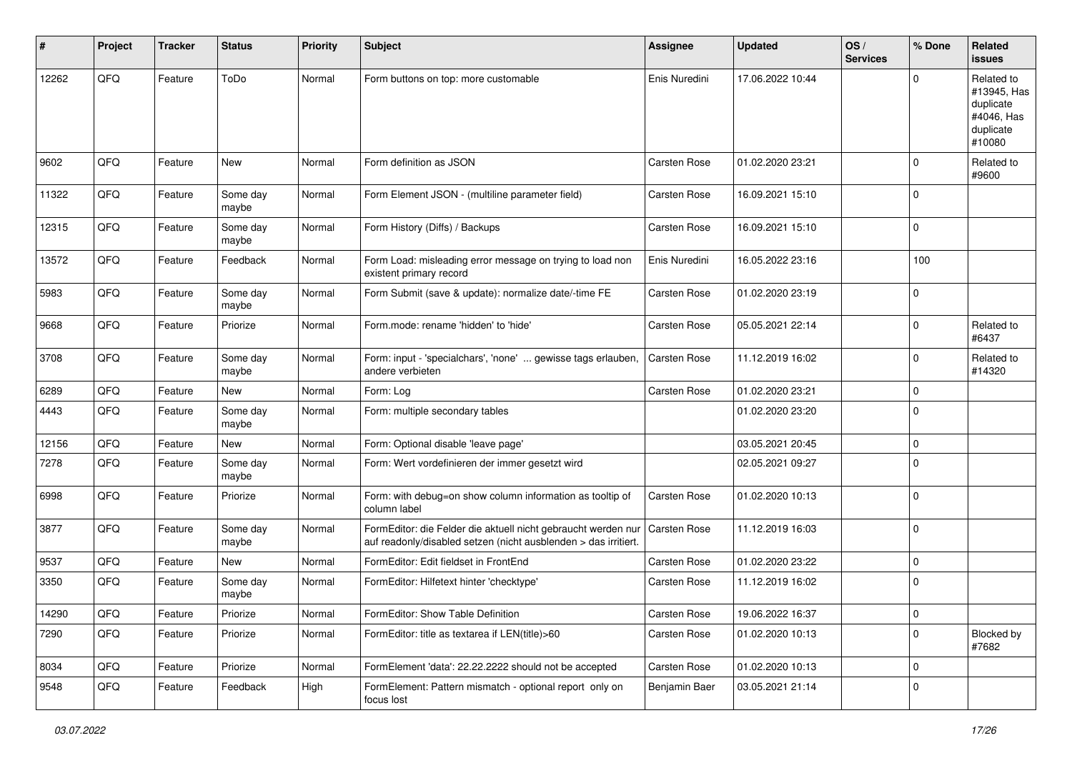| #     | Project | <b>Tracker</b> | <b>Status</b>     | <b>Priority</b> | <b>Subject</b>                                                                                                                   | <b>Assignee</b>     | <b>Updated</b>   | OS/<br><b>Services</b> | % Done      | <b>Related</b><br><b>issues</b>                                             |
|-------|---------|----------------|-------------------|-----------------|----------------------------------------------------------------------------------------------------------------------------------|---------------------|------------------|------------------------|-------------|-----------------------------------------------------------------------------|
| 12262 | QFQ     | Feature        | ToDo              | Normal          | Form buttons on top: more customable                                                                                             | Enis Nuredini       | 17.06.2022 10:44 |                        | $\Omega$    | Related to<br>#13945, Has<br>duplicate<br>#4046, Has<br>duplicate<br>#10080 |
| 9602  | QFQ     | Feature        | New               | Normal          | Form definition as JSON                                                                                                          | <b>Carsten Rose</b> | 01.02.2020 23:21 |                        | $\mathbf 0$ | Related to<br>#9600                                                         |
| 11322 | QFQ     | Feature        | Some day<br>maybe | Normal          | Form Element JSON - (multiline parameter field)                                                                                  | Carsten Rose        | 16.09.2021 15:10 |                        | $\mathbf 0$ |                                                                             |
| 12315 | QFQ     | Feature        | Some day<br>maybe | Normal          | Form History (Diffs) / Backups                                                                                                   | Carsten Rose        | 16.09.2021 15:10 |                        | $\mathbf 0$ |                                                                             |
| 13572 | QFQ     | Feature        | Feedback          | Normal          | Form Load: misleading error message on trying to load non<br>existent primary record                                             | Enis Nuredini       | 16.05.2022 23:16 |                        | 100         |                                                                             |
| 5983  | QFQ     | Feature        | Some day<br>maybe | Normal          | Form Submit (save & update): normalize date/-time FE                                                                             | Carsten Rose        | 01.02.2020 23:19 |                        | $\mathbf 0$ |                                                                             |
| 9668  | QFQ     | Feature        | Priorize          | Normal          | Form.mode: rename 'hidden' to 'hide'                                                                                             | Carsten Rose        | 05.05.2021 22:14 |                        | $\mathbf 0$ | Related to<br>#6437                                                         |
| 3708  | QFQ     | Feature        | Some day<br>maybe | Normal          | Form: input - 'specialchars', 'none'  gewisse tags erlauben,<br>andere verbieten                                                 | Carsten Rose        | 11.12.2019 16:02 |                        | $\mathbf 0$ | Related to<br>#14320                                                        |
| 6289  | QFQ     | Feature        | <b>New</b>        | Normal          | Form: Log                                                                                                                        | <b>Carsten Rose</b> | 01.02.2020 23:21 |                        | $\mathbf 0$ |                                                                             |
| 4443  | QFQ     | Feature        | Some day<br>maybe | Normal          | Form: multiple secondary tables                                                                                                  |                     | 01.02.2020 23:20 |                        | $\mathbf 0$ |                                                                             |
| 12156 | QFQ     | Feature        | New               | Normal          | Form: Optional disable 'leave page'                                                                                              |                     | 03.05.2021 20:45 |                        | $\mathbf 0$ |                                                                             |
| 7278  | QFQ     | Feature        | Some day<br>maybe | Normal          | Form: Wert vordefinieren der immer gesetzt wird                                                                                  |                     | 02.05.2021 09:27 |                        | $\mathbf 0$ |                                                                             |
| 6998  | QFQ     | Feature        | Priorize          | Normal          | Form: with debug=on show column information as tooltip of<br>column label                                                        | Carsten Rose        | 01.02.2020 10:13 |                        | $\mathbf 0$ |                                                                             |
| 3877  | QFQ     | Feature        | Some day<br>maybe | Normal          | FormEditor: die Felder die aktuell nicht gebraucht werden nur<br>auf readonly/disabled setzen (nicht ausblenden > das irritiert. | Carsten Rose        | 11.12.2019 16:03 |                        | $\mathbf 0$ |                                                                             |
| 9537  | QFQ     | Feature        | New               | Normal          | FormEditor: Edit fieldset in FrontEnd                                                                                            | Carsten Rose        | 01.02.2020 23:22 |                        | $\mathbf 0$ |                                                                             |
| 3350  | QFQ     | Feature        | Some day<br>maybe | Normal          | FormEditor: Hilfetext hinter 'checktype'                                                                                         | Carsten Rose        | 11.12.2019 16:02 |                        | $\mathbf 0$ |                                                                             |
| 14290 | QFQ     | Feature        | Priorize          | Normal          | FormEditor: Show Table Definition                                                                                                | Carsten Rose        | 19.06.2022 16:37 |                        | 0           |                                                                             |
| 7290  | QFQ     | Feature        | Priorize          | Normal          | FormEditor: title as textarea if LEN(title)>60                                                                                   | Carsten Rose        | 01.02.2020 10:13 |                        | $\mathbf 0$ | Blocked by<br>#7682                                                         |
| 8034  | QFQ     | Feature        | Priorize          | Normal          | FormElement 'data': 22.22.2222 should not be accepted                                                                            | Carsten Rose        | 01.02.2020 10:13 |                        | $\mathbf 0$ |                                                                             |
| 9548  | QFQ     | Feature        | Feedback          | High            | FormElement: Pattern mismatch - optional report only on<br>focus lost                                                            | Benjamin Baer       | 03.05.2021 21:14 |                        | $\mathbf 0$ |                                                                             |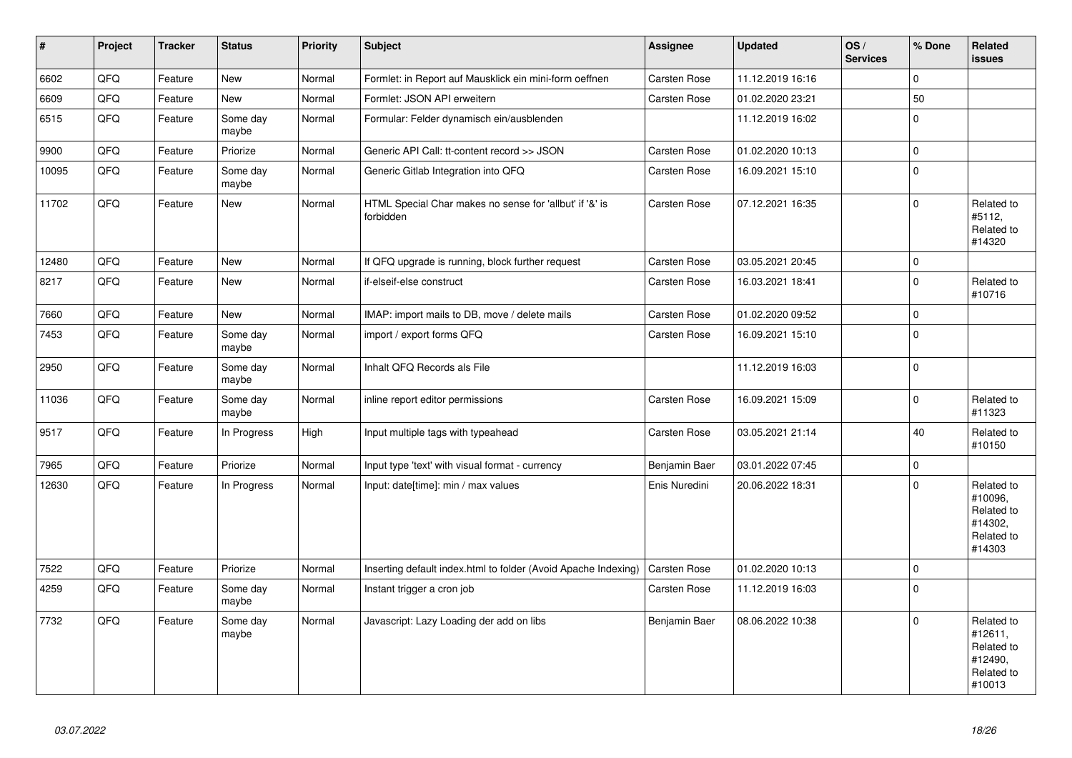| $\vert$ # | Project | <b>Tracker</b> | <b>Status</b>     | <b>Priority</b> | Subject                                                              | <b>Assignee</b>     | <b>Updated</b>   | OS/<br><b>Services</b> | % Done              | Related<br><b>issues</b>                                               |
|-----------|---------|----------------|-------------------|-----------------|----------------------------------------------------------------------|---------------------|------------------|------------------------|---------------------|------------------------------------------------------------------------|
| 6602      | QFQ     | Feature        | <b>New</b>        | Normal          | Formlet: in Report auf Mausklick ein mini-form oeffnen               | <b>Carsten Rose</b> | 11.12.2019 16:16 |                        | $\mathsf 0$         |                                                                        |
| 6609      | QFQ     | Feature        | New               | Normal          | Formlet: JSON API erweitern                                          | Carsten Rose        | 01.02.2020 23:21 |                        | 50                  |                                                                        |
| 6515      | QFQ     | Feature        | Some day<br>maybe | Normal          | Formular: Felder dynamisch ein/ausblenden                            |                     | 11.12.2019 16:02 |                        | $\mathbf 0$         |                                                                        |
| 9900      | QFQ     | Feature        | Priorize          | Normal          | Generic API Call: tt-content record >> JSON                          | Carsten Rose        | 01.02.2020 10:13 |                        | $\mathsf 0$         |                                                                        |
| 10095     | QFQ     | Feature        | Some day<br>maybe | Normal          | Generic Gitlab Integration into QFQ                                  | Carsten Rose        | 16.09.2021 15:10 |                        | $\mathsf 0$         |                                                                        |
| 11702     | QFQ     | Feature        | New               | Normal          | HTML Special Char makes no sense for 'allbut' if '&' is<br>forbidden | Carsten Rose        | 07.12.2021 16:35 |                        | $\Omega$            | Related to<br>#5112,<br>Related to<br>#14320                           |
| 12480     | QFQ     | Feature        | <b>New</b>        | Normal          | If QFQ upgrade is running, block further request                     | Carsten Rose        | 03.05.2021 20:45 |                        | $\mathsf{O}\xspace$ |                                                                        |
| 8217      | QFQ     | Feature        | <b>New</b>        | Normal          | if-elseif-else construct                                             | Carsten Rose        | 16.03.2021 18:41 |                        | $\Omega$            | Related to<br>#10716                                                   |
| 7660      | QFQ     | Feature        | <b>New</b>        | Normal          | IMAP: import mails to DB, move / delete mails                        | <b>Carsten Rose</b> | 01.02.2020 09:52 |                        | $\mathsf 0$         |                                                                        |
| 7453      | QFQ     | Feature        | Some day<br>maybe | Normal          | import / export forms QFQ                                            | Carsten Rose        | 16.09.2021 15:10 |                        | $\mathsf 0$         |                                                                        |
| 2950      | QFQ     | Feature        | Some day<br>maybe | Normal          | Inhalt QFQ Records als File                                          |                     | 11.12.2019 16:03 |                        | $\pmb{0}$           |                                                                        |
| 11036     | QFQ     | Feature        | Some day<br>maybe | Normal          | inline report editor permissions                                     | Carsten Rose        | 16.09.2021 15:09 |                        | $\mathbf 0$         | Related to<br>#11323                                                   |
| 9517      | QFQ     | Feature        | In Progress       | High            | Input multiple tags with typeahead                                   | Carsten Rose        | 03.05.2021 21:14 |                        | 40                  | Related to<br>#10150                                                   |
| 7965      | QFQ     | Feature        | Priorize          | Normal          | Input type 'text' with visual format - currency                      | Benjamin Baer       | 03.01.2022 07:45 |                        | $\pmb{0}$           |                                                                        |
| 12630     | QFQ     | Feature        | In Progress       | Normal          | Input: date[time]: min / max values                                  | Enis Nuredini       | 20.06.2022 18:31 |                        | $\Omega$            | Related to<br>#10096,<br>Related to<br>#14302,<br>Related to<br>#14303 |
| 7522      | QFQ     | Feature        | Priorize          | Normal          | Inserting default index.html to folder (Avoid Apache Indexing)       | <b>Carsten Rose</b> | 01.02.2020 10:13 |                        | $\mathbf 0$         |                                                                        |
| 4259      | QFQ     | Feature        | Some day<br>maybe | Normal          | Instant trigger a cron job                                           | Carsten Rose        | 11.12.2019 16:03 |                        | $\mathbf 0$         |                                                                        |
| 7732      | QFQ     | Feature        | Some day<br>maybe | Normal          | Javascript: Lazy Loading der add on libs                             | Benjamin Baer       | 08.06.2022 10:38 |                        | $\mathbf 0$         | Related to<br>#12611,<br>Related to<br>#12490,<br>Related to<br>#10013 |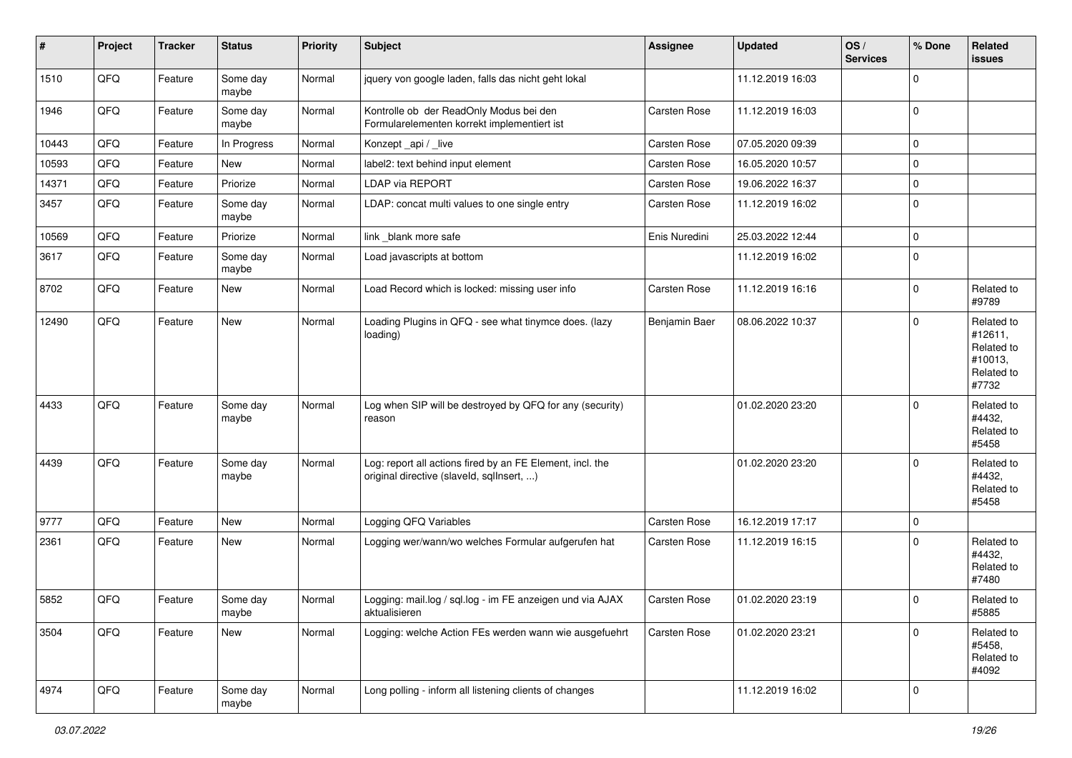| #     | Project | <b>Tracker</b> | <b>Status</b>     | <b>Priority</b> | <b>Subject</b>                                                                                         | <b>Assignee</b>     | <b>Updated</b>   | OS/<br><b>Services</b> | % Done      | Related<br><b>issues</b>                                              |
|-------|---------|----------------|-------------------|-----------------|--------------------------------------------------------------------------------------------------------|---------------------|------------------|------------------------|-------------|-----------------------------------------------------------------------|
| 1510  | QFQ     | Feature        | Some day<br>maybe | Normal          | jquery von google laden, falls das nicht geht lokal                                                    |                     | 11.12.2019 16:03 |                        | $\mathbf 0$ |                                                                       |
| 1946  | QFQ     | Feature        | Some day<br>maybe | Normal          | Kontrolle ob der ReadOnly Modus bei den<br>Formularelementen korrekt implementiert ist                 | Carsten Rose        | 11.12.2019 16:03 |                        | $\mathbf 0$ |                                                                       |
| 10443 | QFQ     | Feature        | In Progress       | Normal          | Konzept_api / _live                                                                                    | Carsten Rose        | 07.05.2020 09:39 |                        | $\mathbf 0$ |                                                                       |
| 10593 | QFQ     | Feature        | New               | Normal          | label2: text behind input element                                                                      | Carsten Rose        | 16.05.2020 10:57 |                        | $\pmb{0}$   |                                                                       |
| 14371 | QFQ     | Feature        | Priorize          | Normal          | LDAP via REPORT                                                                                        | <b>Carsten Rose</b> | 19.06.2022 16:37 |                        | $\mathbf 0$ |                                                                       |
| 3457  | QFQ     | Feature        | Some day<br>maybe | Normal          | LDAP: concat multi values to one single entry                                                          | Carsten Rose        | 11.12.2019 16:02 |                        | $\mathbf 0$ |                                                                       |
| 10569 | QFQ     | Feature        | Priorize          | Normal          | link _blank more safe                                                                                  | Enis Nuredini       | 25.03.2022 12:44 |                        | $\mathbf 0$ |                                                                       |
| 3617  | QFQ     | Feature        | Some day<br>maybe | Normal          | Load javascripts at bottom                                                                             |                     | 11.12.2019 16:02 |                        | $\mathbf 0$ |                                                                       |
| 8702  | QFQ     | Feature        | New               | Normal          | Load Record which is locked: missing user info                                                         | Carsten Rose        | 11.12.2019 16:16 |                        | $\mathbf 0$ | Related to<br>#9789                                                   |
| 12490 | QFQ     | Feature        | <b>New</b>        | Normal          | Loading Plugins in QFQ - see what tinymce does. (lazy<br>loading)                                      | Benjamin Baer       | 08.06.2022 10:37 |                        | $\mathbf 0$ | Related to<br>#12611,<br>Related to<br>#10013,<br>Related to<br>#7732 |
| 4433  | QFQ     | Feature        | Some day<br>maybe | Normal          | Log when SIP will be destroyed by QFQ for any (security)<br>reason                                     |                     | 01.02.2020 23:20 |                        | $\mathbf 0$ | Related to<br>#4432,<br>Related to<br>#5458                           |
| 4439  | QFQ     | Feature        | Some day<br>maybe | Normal          | Log: report all actions fired by an FE Element, incl. the<br>original directive (slaveld, sqllnsert, ) |                     | 01.02.2020 23:20 |                        | $\Omega$    | Related to<br>#4432,<br>Related to<br>#5458                           |
| 9777  | QFQ     | Feature        | <b>New</b>        | Normal          | Logging QFQ Variables                                                                                  | Carsten Rose        | 16.12.2019 17:17 |                        | $\mathbf 0$ |                                                                       |
| 2361  | QFQ     | Feature        | New               | Normal          | Logging wer/wann/wo welches Formular aufgerufen hat                                                    | Carsten Rose        | 11.12.2019 16:15 |                        | $\mathbf 0$ | Related to<br>#4432,<br>Related to<br>#7480                           |
| 5852  | QFQ     | Feature        | Some day<br>maybe | Normal          | Logging: mail.log / sql.log - im FE anzeigen und via AJAX<br>aktualisieren                             | Carsten Rose        | 01.02.2020 23:19 |                        | $\mathbf 0$ | Related to<br>#5885                                                   |
| 3504  | QFQ     | Feature        | New               | Normal          | Logging: welche Action FEs werden wann wie ausgefuehrt                                                 | Carsten Rose        | 01.02.2020 23:21 |                        | $\mathbf 0$ | Related to<br>#5458,<br>Related to<br>#4092                           |
| 4974  | QFQ     | Feature        | Some day<br>maybe | Normal          | Long polling - inform all listening clients of changes                                                 |                     | 11.12.2019 16:02 |                        | $\mathbf 0$ |                                                                       |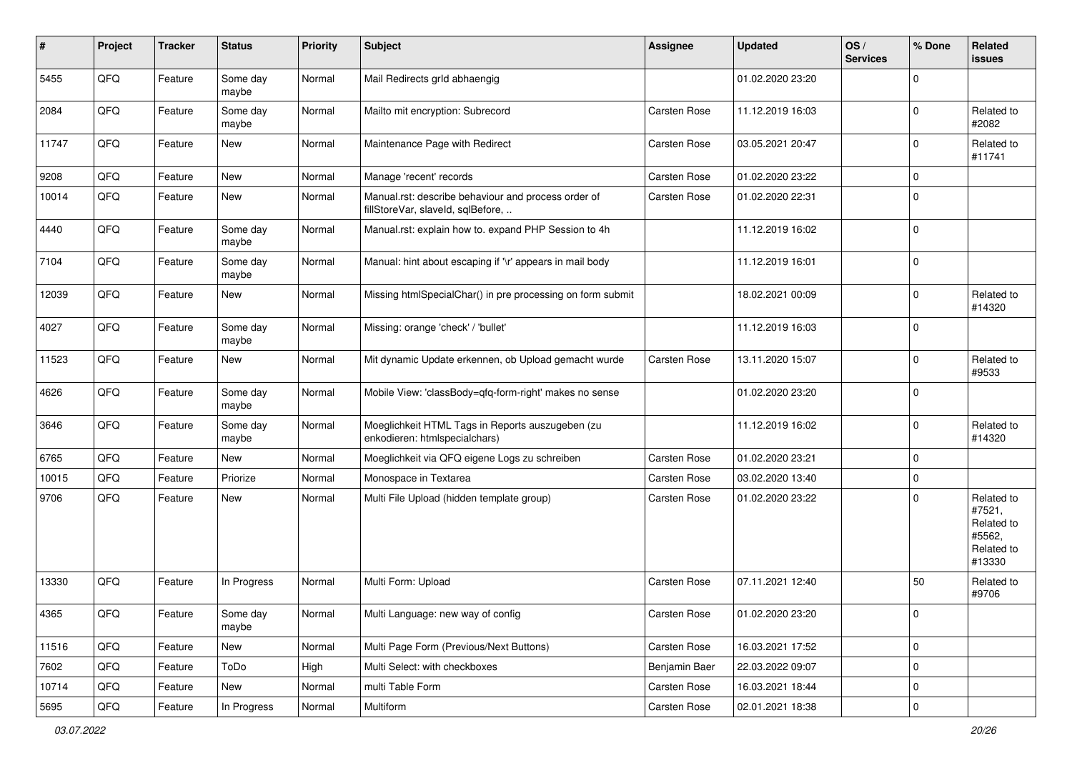| #     | Project | <b>Tracker</b> | <b>Status</b>     | <b>Priority</b> | <b>Subject</b>                                                                           | <b>Assignee</b>     | <b>Updated</b>   | OS/<br><b>Services</b> | % Done              | <b>Related</b><br>issues                                             |
|-------|---------|----------------|-------------------|-----------------|------------------------------------------------------------------------------------------|---------------------|------------------|------------------------|---------------------|----------------------------------------------------------------------|
| 5455  | QFQ     | Feature        | Some day<br>maybe | Normal          | Mail Redirects grld abhaengig                                                            |                     | 01.02.2020 23:20 |                        | $\mathbf 0$         |                                                                      |
| 2084  | QFQ     | Feature        | Some day<br>maybe | Normal          | Mailto mit encryption: Subrecord                                                         | Carsten Rose        | 11.12.2019 16:03 |                        | $\mathbf 0$         | Related to<br>#2082                                                  |
| 11747 | QFQ     | Feature        | New               | Normal          | Maintenance Page with Redirect                                                           | Carsten Rose        | 03.05.2021 20:47 |                        | $\mathbf 0$         | Related to<br>#11741                                                 |
| 9208  | QFQ     | Feature        | <b>New</b>        | Normal          | Manage 'recent' records                                                                  | Carsten Rose        | 01.02.2020 23:22 |                        | $\mathbf 0$         |                                                                      |
| 10014 | QFQ     | Feature        | New               | Normal          | Manual.rst: describe behaviour and process order of<br>fillStoreVar, slaveId, sqlBefore, | Carsten Rose        | 01.02.2020 22:31 |                        | $\mathbf 0$         |                                                                      |
| 4440  | QFQ     | Feature        | Some day<br>maybe | Normal          | Manual.rst: explain how to. expand PHP Session to 4h                                     |                     | 11.12.2019 16:02 |                        | $\mathbf 0$         |                                                                      |
| 7104  | QFQ     | Feature        | Some day<br>maybe | Normal          | Manual: hint about escaping if '\r' appears in mail body                                 |                     | 11.12.2019 16:01 |                        | $\mathbf 0$         |                                                                      |
| 12039 | QFQ     | Feature        | New               | Normal          | Missing htmlSpecialChar() in pre processing on form submit                               |                     | 18.02.2021 00:09 |                        | $\mathbf 0$         | Related to<br>#14320                                                 |
| 4027  | QFQ     | Feature        | Some day<br>maybe | Normal          | Missing: orange 'check' / 'bullet'                                                       |                     | 11.12.2019 16:03 |                        | $\mathbf 0$         |                                                                      |
| 11523 | QFQ     | Feature        | <b>New</b>        | Normal          | Mit dynamic Update erkennen, ob Upload gemacht wurde                                     | Carsten Rose        | 13.11.2020 15:07 |                        | $\mathbf 0$         | Related to<br>#9533                                                  |
| 4626  | QFQ     | Feature        | Some day<br>maybe | Normal          | Mobile View: 'classBody=qfq-form-right' makes no sense                                   |                     | 01.02.2020 23:20 |                        | $\mathbf 0$         |                                                                      |
| 3646  | QFQ     | Feature        | Some day<br>maybe | Normal          | Moeglichkeit HTML Tags in Reports auszugeben (zu<br>enkodieren: htmlspecialchars)        |                     | 11.12.2019 16:02 |                        | $\Omega$            | Related to<br>#14320                                                 |
| 6765  | QFQ     | Feature        | New               | Normal          | Moeglichkeit via QFQ eigene Logs zu schreiben                                            | Carsten Rose        | 01.02.2020 23:21 |                        | $\mathbf 0$         |                                                                      |
| 10015 | QFQ     | Feature        | Priorize          | Normal          | Monospace in Textarea                                                                    | Carsten Rose        | 03.02.2020 13:40 |                        | $\mathbf 0$         |                                                                      |
| 9706  | QFQ     | Feature        | <b>New</b>        | Normal          | Multi File Upload (hidden template group)                                                | Carsten Rose        | 01.02.2020 23:22 |                        | $\Omega$            | Related to<br>#7521,<br>Related to<br>#5562,<br>Related to<br>#13330 |
| 13330 | QFQ     | Feature        | In Progress       | Normal          | Multi Form: Upload                                                                       | <b>Carsten Rose</b> | 07.11.2021 12:40 |                        | 50                  | Related to<br>#9706                                                  |
| 4365  | QFQ     | Feature        | Some day<br>maybe | Normal          | Multi Language: new way of config                                                        | Carsten Rose        | 01.02.2020 23:20 |                        | l 0                 |                                                                      |
| 11516 | QFQ     | Feature        | New               | Normal          | Multi Page Form (Previous/Next Buttons)                                                  | Carsten Rose        | 16.03.2021 17:52 |                        | $\mathsf{O}\xspace$ |                                                                      |
| 7602  | QFQ     | Feature        | ToDo              | High            | Multi Select: with checkboxes                                                            | Benjamin Baer       | 22.03.2022 09:07 |                        | $\mathbf 0$         |                                                                      |
| 10714 | QFQ     | Feature        | New               | Normal          | multi Table Form                                                                         | Carsten Rose        | 16.03.2021 18:44 |                        | 0                   |                                                                      |
| 5695  | QFG     | Feature        | In Progress       | Normal          | Multiform                                                                                | Carsten Rose        | 02.01.2021 18:38 |                        | $\mathsf{O}\xspace$ |                                                                      |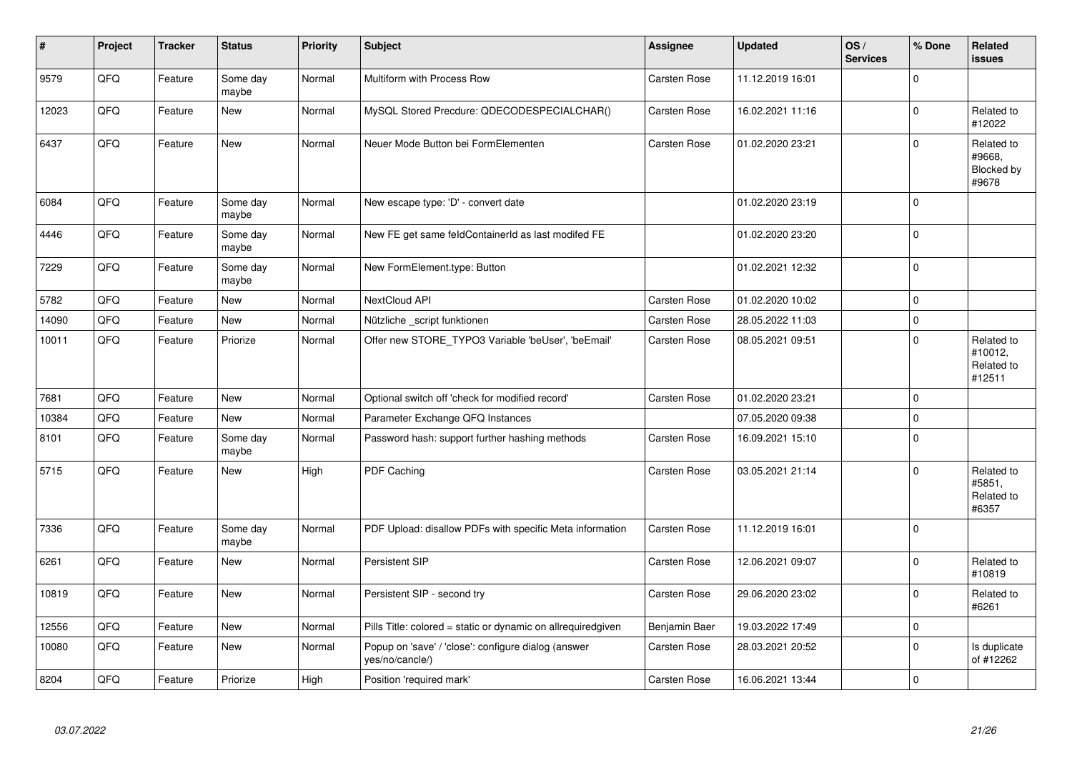| $\vert$ # | Project | <b>Tracker</b> | <b>Status</b>     | <b>Priority</b> | Subject                                                                | <b>Assignee</b>     | <b>Updated</b>   | OS/<br><b>Services</b> | % Done      | Related<br><b>issues</b>                      |
|-----------|---------|----------------|-------------------|-----------------|------------------------------------------------------------------------|---------------------|------------------|------------------------|-------------|-----------------------------------------------|
| 9579      | QFQ     | Feature        | Some day<br>maybe | Normal          | Multiform with Process Row                                             | Carsten Rose        | 11.12.2019 16:01 |                        | $\Omega$    |                                               |
| 12023     | QFQ     | Feature        | <b>New</b>        | Normal          | MySQL Stored Precdure: QDECODESPECIALCHAR()                            | Carsten Rose        | 16.02.2021 11:16 |                        | $\mathbf 0$ | Related to<br>#12022                          |
| 6437      | QFQ     | Feature        | <b>New</b>        | Normal          | Neuer Mode Button bei FormElementen                                    | Carsten Rose        | 01.02.2020 23:21 |                        | $\mathbf 0$ | Related to<br>#9668.<br>Blocked by<br>#9678   |
| 6084      | QFQ     | Feature        | Some day<br>maybe | Normal          | New escape type: 'D' - convert date                                    |                     | 01.02.2020 23:19 |                        | $\mathbf 0$ |                                               |
| 4446      | QFQ     | Feature        | Some day<br>maybe | Normal          | New FE get same feldContainerId as last modifed FE                     |                     | 01.02.2020 23:20 |                        | $\mathbf 0$ |                                               |
| 7229      | QFQ     | Feature        | Some day<br>maybe | Normal          | New FormElement.type: Button                                           |                     | 01.02.2021 12:32 |                        | $\mathbf 0$ |                                               |
| 5782      | QFQ     | Feature        | <b>New</b>        | Normal          | NextCloud API                                                          | Carsten Rose        | 01.02.2020 10:02 |                        | $\mathbf 0$ |                                               |
| 14090     | QFQ     | Feature        | New               | Normal          | Nützliche script funktionen                                            | Carsten Rose        | 28.05.2022 11:03 |                        | $\mathbf 0$ |                                               |
| 10011     | QFQ     | Feature        | Priorize          | Normal          | Offer new STORE_TYPO3 Variable 'beUser', 'beEmail'                     | Carsten Rose        | 08.05.2021 09:51 |                        | $\Omega$    | Related to<br>#10012,<br>Related to<br>#12511 |
| 7681      | QFQ     | Feature        | <b>New</b>        | Normal          | Optional switch off 'check for modified record'                        | Carsten Rose        | 01.02.2020 23:21 |                        | $\mathbf 0$ |                                               |
| 10384     | QFQ     | Feature        | <b>New</b>        | Normal          | Parameter Exchange QFQ Instances                                       |                     | 07.05.2020 09:38 |                        | $\mathbf 0$ |                                               |
| 8101      | QFQ     | Feature        | Some day<br>maybe | Normal          | Password hash: support further hashing methods                         | Carsten Rose        | 16.09.2021 15:10 |                        | $\pmb{0}$   |                                               |
| 5715      | QFQ     | Feature        | <b>New</b>        | High            | PDF Caching                                                            | <b>Carsten Rose</b> | 03.05.2021 21:14 |                        | $\Omega$    | Related to<br>#5851,<br>Related to<br>#6357   |
| 7336      | QFQ     | Feature        | Some day<br>maybe | Normal          | PDF Upload: disallow PDFs with specific Meta information               | Carsten Rose        | 11.12.2019 16:01 |                        | $\pmb{0}$   |                                               |
| 6261      | QFQ     | Feature        | New               | Normal          | <b>Persistent SIP</b>                                                  | Carsten Rose        | 12.06.2021 09:07 |                        | $\Omega$    | Related to<br>#10819                          |
| 10819     | QFQ     | Feature        | <b>New</b>        | Normal          | Persistent SIP - second try                                            | <b>Carsten Rose</b> | 29.06.2020 23:02 |                        | $\mathbf 0$ | Related to<br>#6261                           |
| 12556     | QFQ     | Feature        | <b>New</b>        | Normal          | Pills Title: colored = static or dynamic on allrequiredgiven           | Benjamin Baer       | 19.03.2022 17:49 |                        | $\mathbf 0$ |                                               |
| 10080     | QFQ     | Feature        | <b>New</b>        | Normal          | Popup on 'save' / 'close': configure dialog (answer<br>yes/no/cancle/) | <b>Carsten Rose</b> | 28.03.2021 20:52 |                        | $\mathbf 0$ | Is duplicate<br>of #12262                     |
| 8204      | QFQ     | Feature        | Priorize          | High            | Position 'required mark'                                               | <b>Carsten Rose</b> | 16.06.2021 13:44 |                        | $\mathbf 0$ |                                               |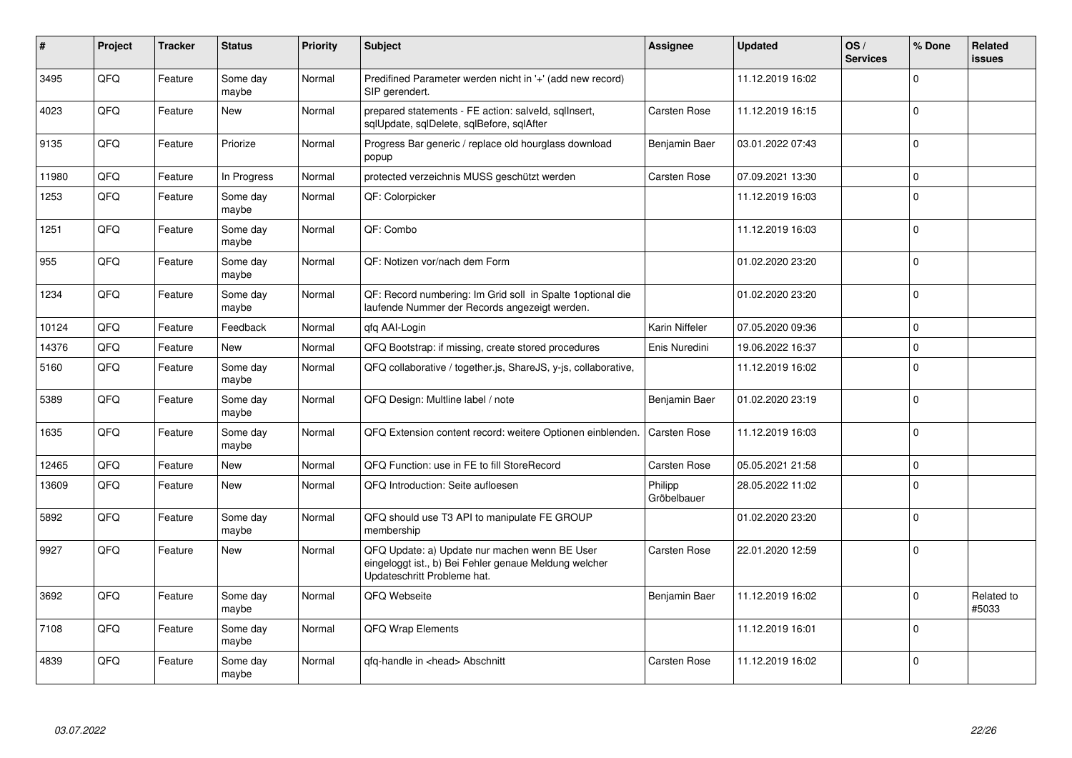| #     | Project    | <b>Tracker</b> | <b>Status</b>     | <b>Priority</b> | <b>Subject</b>                                                                                                                        | <b>Assignee</b>        | <b>Updated</b>   | OS/<br><b>Services</b> | % Done      | Related<br><b>issues</b> |
|-------|------------|----------------|-------------------|-----------------|---------------------------------------------------------------------------------------------------------------------------------------|------------------------|------------------|------------------------|-------------|--------------------------|
| 3495  | QFQ        | Feature        | Some day<br>maybe | Normal          | Predifined Parameter werden nicht in '+' (add new record)<br>SIP gerendert.                                                           |                        | 11.12.2019 16:02 |                        | $\Omega$    |                          |
| 4023  | QFQ        | Feature        | <b>New</b>        | Normal          | prepared statements - FE action: salveld, sgllnsert,<br>sqlUpdate, sqlDelete, sqlBefore, sqlAfter                                     | Carsten Rose           | 11.12.2019 16:15 |                        | $\Omega$    |                          |
| 9135  | QFQ        | Feature        | Priorize          | Normal          | Progress Bar generic / replace old hourglass download<br>popup                                                                        | Benjamin Baer          | 03.01.2022 07:43 |                        | $\Omega$    |                          |
| 11980 | QFQ        | Feature        | In Progress       | Normal          | protected verzeichnis MUSS geschützt werden                                                                                           | Carsten Rose           | 07.09.2021 13:30 |                        | $\mathbf 0$ |                          |
| 1253  | QFQ        | Feature        | Some day<br>maybe | Normal          | QF: Colorpicker                                                                                                                       |                        | 11.12.2019 16:03 |                        | $\Omega$    |                          |
| 1251  | QFQ        | Feature        | Some day<br>maybe | Normal          | QF: Combo                                                                                                                             |                        | 11.12.2019 16:03 |                        | l 0         |                          |
| 955   | <b>OFO</b> | Feature        | Some day<br>maybe | Normal          | QF: Notizen vor/nach dem Form                                                                                                         |                        | 01.02.2020 23:20 |                        | $\Omega$    |                          |
| 1234  | QFQ        | Feature        | Some day<br>maybe | Normal          | QF: Record numbering: Im Grid soll in Spalte 1 optional die<br>laufende Nummer der Records angezeigt werden.                          |                        | 01.02.2020 23:20 |                        | l 0         |                          |
| 10124 | QFQ        | Feature        | Feedback          | Normal          | gfg AAI-Login                                                                                                                         | Karin Niffeler         | 07.05.2020 09:36 |                        | $\Omega$    |                          |
| 14376 | QFQ        | Feature        | <b>New</b>        | Normal          | QFQ Bootstrap: if missing, create stored procedures                                                                                   | Enis Nuredini          | 19.06.2022 16:37 |                        | l 0         |                          |
| 5160  | QFQ        | Feature        | Some day<br>maybe | Normal          | QFQ collaborative / together.js, ShareJS, y-js, collaborative,                                                                        |                        | 11.12.2019 16:02 |                        | $\Omega$    |                          |
| 5389  | QFQ        | Feature        | Some day<br>maybe | Normal          | QFQ Design: Multline label / note                                                                                                     | Benjamin Baer          | 01.02.2020 23:19 |                        | l o         |                          |
| 1635  | QFQ        | Feature        | Some day<br>maybe | Normal          | QFQ Extension content record: weitere Optionen einblenden.                                                                            | Carsten Rose           | 11.12.2019 16:03 |                        | I٥          |                          |
| 12465 | QFQ        | Feature        | <b>New</b>        | Normal          | QFQ Function: use in FE to fill StoreRecord                                                                                           | Carsten Rose           | 05.05.2021 21:58 |                        | $\Omega$    |                          |
| 13609 | QFQ        | Feature        | New               | Normal          | QFQ Introduction: Seite aufloesen                                                                                                     | Philipp<br>Gröbelbauer | 28.05.2022 11:02 |                        | $\Omega$    |                          |
| 5892  | QFQ        | Feature        | Some day<br>maybe | Normal          | QFQ should use T3 API to manipulate FE GROUP<br>membership                                                                            |                        | 01.02.2020 23:20 |                        | $\mathbf 0$ |                          |
| 9927  | QFQ        | Feature        | New               | Normal          | QFQ Update: a) Update nur machen wenn BE User<br>eingeloggt ist., b) Bei Fehler genaue Meldung welcher<br>Updateschritt Probleme hat. | Carsten Rose           | 22.01.2020 12:59 |                        | l O         |                          |
| 3692  | QFQ        | Feature        | Some day<br>maybe | Normal          | QFQ Webseite                                                                                                                          | Benjamin Baer          | 11.12.2019 16:02 |                        | $\mathbf 0$ | Related to<br>#5033      |
| 7108  | QFQ        | Feature        | Some day<br>maybe | Normal          | <b>QFQ Wrap Elements</b>                                                                                                              |                        | 11.12.2019 16:01 |                        | $\Omega$    |                          |
| 4839  | QFQ        | Feature        | Some day<br>maybe | Normal          | gfg-handle in <head> Abschnitt</head>                                                                                                 | Carsten Rose           | 11.12.2019 16:02 |                        | l 0         |                          |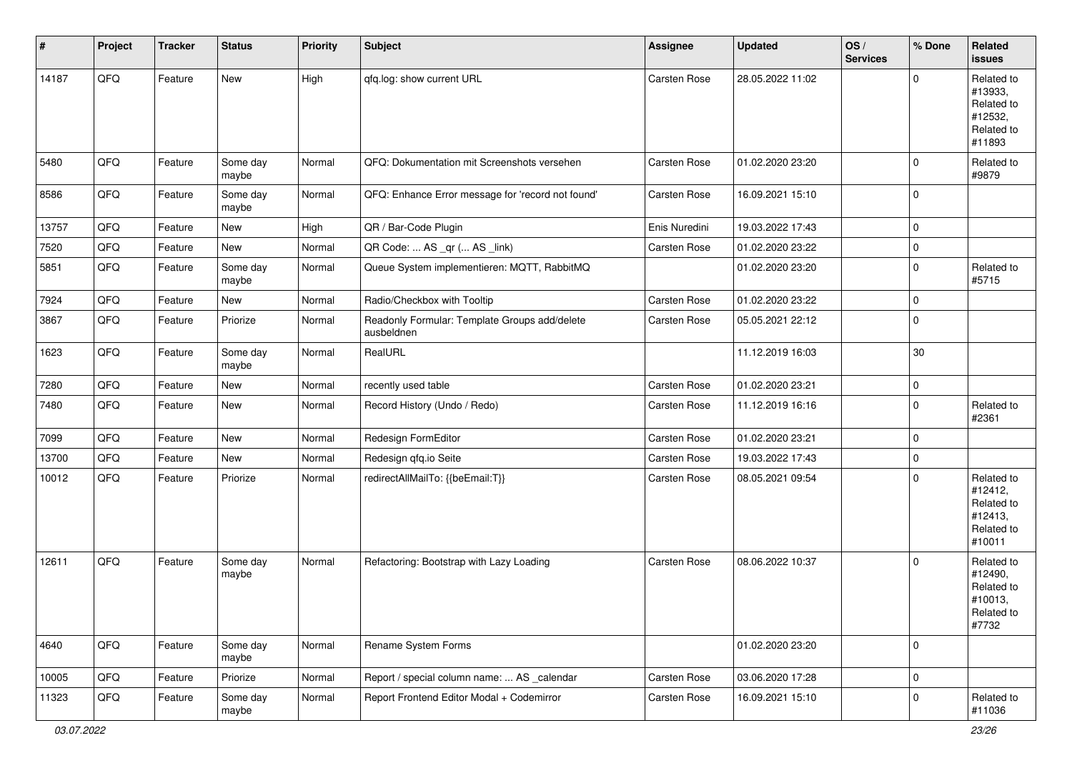| #     | Project | <b>Tracker</b> | <b>Status</b>     | <b>Priority</b> | <b>Subject</b>                                              | <b>Assignee</b> | <b>Updated</b>   | OS/<br><b>Services</b> | % Done              | Related<br><b>issues</b>                                               |
|-------|---------|----------------|-------------------|-----------------|-------------------------------------------------------------|-----------------|------------------|------------------------|---------------------|------------------------------------------------------------------------|
| 14187 | QFQ     | Feature        | New               | High            | qfq.log: show current URL                                   | Carsten Rose    | 28.05.2022 11:02 |                        | $\mathbf 0$         | Related to<br>#13933,<br>Related to<br>#12532,<br>Related to<br>#11893 |
| 5480  | QFQ     | Feature        | Some day<br>maybe | Normal          | QFQ: Dokumentation mit Screenshots versehen                 | Carsten Rose    | 01.02.2020 23:20 |                        | $\mathbf 0$         | Related to<br>#9879                                                    |
| 8586  | QFQ     | Feature        | Some day<br>maybe | Normal          | QFQ: Enhance Error message for 'record not found'           | Carsten Rose    | 16.09.2021 15:10 |                        | $\mathbf 0$         |                                                                        |
| 13757 | QFQ     | Feature        | New               | High            | QR / Bar-Code Plugin                                        | Enis Nuredini   | 19.03.2022 17:43 |                        | $\mathbf 0$         |                                                                        |
| 7520  | QFQ     | Feature        | <b>New</b>        | Normal          | QR Code:  AS _qr ( AS _link)                                | Carsten Rose    | 01.02.2020 23:22 |                        | $\mathbf 0$         |                                                                        |
| 5851  | QFQ     | Feature        | Some day<br>maybe | Normal          | Queue System implementieren: MQTT, RabbitMQ                 |                 | 01.02.2020 23:20 |                        | $\mathbf 0$         | Related to<br>#5715                                                    |
| 7924  | QFQ     | Feature        | New               | Normal          | Radio/Checkbox with Tooltip                                 | Carsten Rose    | 01.02.2020 23:22 |                        | $\mathbf 0$         |                                                                        |
| 3867  | QFQ     | Feature        | Priorize          | Normal          | Readonly Formular: Template Groups add/delete<br>ausbeldnen | Carsten Rose    | 05.05.2021 22:12 |                        | $\mathbf 0$         |                                                                        |
| 1623  | QFQ     | Feature        | Some day<br>maybe | Normal          | RealURL                                                     |                 | 11.12.2019 16:03 |                        | 30                  |                                                                        |
| 7280  | QFQ     | Feature        | <b>New</b>        | Normal          | recently used table                                         | Carsten Rose    | 01.02.2020 23:21 |                        | $\mathsf{O}\xspace$ |                                                                        |
| 7480  | QFQ     | Feature        | New               | Normal          | Record History (Undo / Redo)                                | Carsten Rose    | 11.12.2019 16:16 |                        | $\mathbf 0$         | Related to<br>#2361                                                    |
| 7099  | QFQ     | Feature        | New               | Normal          | Redesign FormEditor                                         | Carsten Rose    | 01.02.2020 23:21 |                        | $\mathsf{O}\xspace$ |                                                                        |
| 13700 | QFQ     | Feature        | New               | Normal          | Redesign qfq.io Seite                                       | Carsten Rose    | 19.03.2022 17:43 |                        | $\mathsf{O}\xspace$ |                                                                        |
| 10012 | QFQ     | Feature        | Priorize          | Normal          | redirectAllMailTo: {{beEmail:T}}                            | Carsten Rose    | 08.05.2021 09:54 |                        | $\mathbf 0$         | Related to<br>#12412,<br>Related to<br>#12413,<br>Related to<br>#10011 |
| 12611 | QFQ     | Feature        | Some day<br>maybe | Normal          | Refactoring: Bootstrap with Lazy Loading                    | Carsten Rose    | 08.06.2022 10:37 |                        | $\mathbf 0$         | Related to<br>#12490,<br>Related to<br>#10013,<br>Related to<br>#7732  |
| 4640  | QFQ     | Feature        | Some day<br>maybe | Normal          | Rename System Forms                                         |                 | 01.02.2020 23:20 |                        | 0                   |                                                                        |
| 10005 | QFQ     | Feature        | Priorize          | Normal          | Report / special column name:  AS calendar                  | Carsten Rose    | 03.06.2020 17:28 |                        | $\mathsf{O}\xspace$ |                                                                        |
| 11323 | QFQ     | Feature        | Some day<br>maybe | Normal          | Report Frontend Editor Modal + Codemirror                   | Carsten Rose    | 16.09.2021 15:10 |                        | $\mathbf 0$         | Related to<br>#11036                                                   |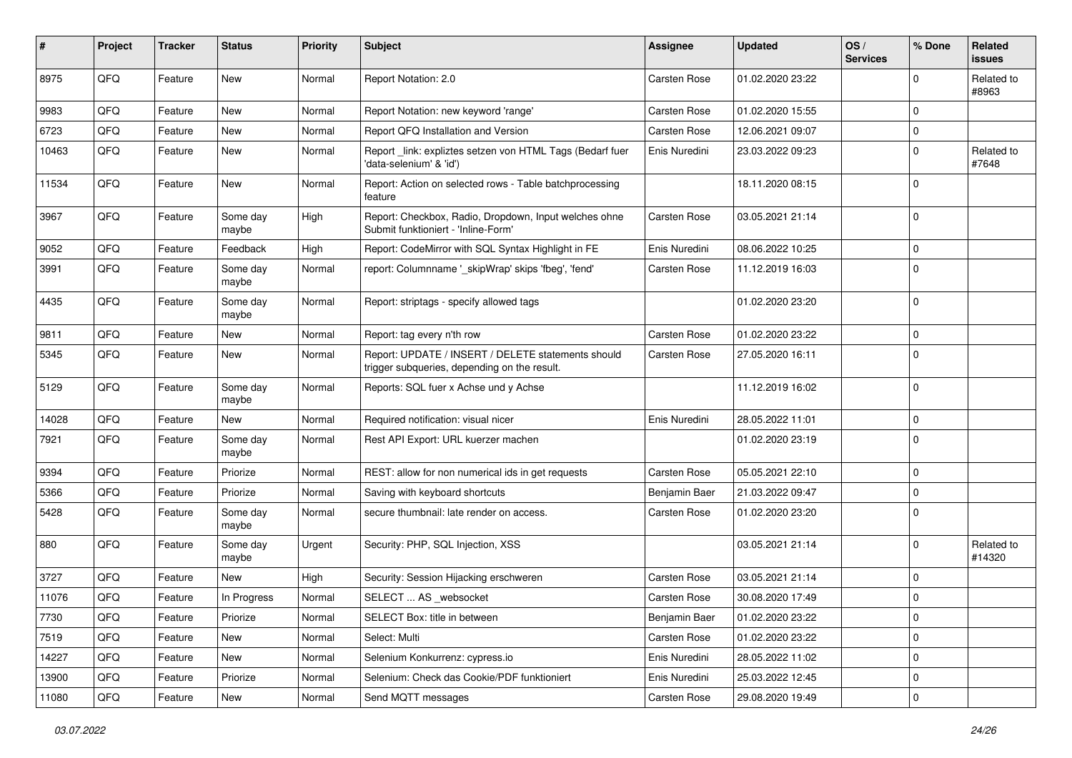| #     | Project | <b>Tracker</b> | <b>Status</b>     | <b>Priority</b> | <b>Subject</b>                                                                                     | Assignee      | <b>Updated</b>   | OS/<br><b>Services</b> | % Done      | <b>Related</b><br><b>issues</b> |
|-------|---------|----------------|-------------------|-----------------|----------------------------------------------------------------------------------------------------|---------------|------------------|------------------------|-------------|---------------------------------|
| 8975  | QFQ     | Feature        | New               | Normal          | Report Notation: 2.0                                                                               | Carsten Rose  | 01.02.2020 23:22 |                        | $\mathbf 0$ | Related to<br>#8963             |
| 9983  | QFQ     | Feature        | <b>New</b>        | Normal          | Report Notation: new keyword 'range'                                                               | Carsten Rose  | 01.02.2020 15:55 |                        | $\mathbf 0$ |                                 |
| 6723  | QFQ     | Feature        | <b>New</b>        | Normal          | Report QFQ Installation and Version                                                                | Carsten Rose  | 12.06.2021 09:07 |                        | $\mathbf 0$ |                                 |
| 10463 | QFQ     | Feature        | New               | Normal          | Report link: expliztes setzen von HTML Tags (Bedarf fuer<br>'data-selenium' & 'id')                | Enis Nuredini | 23.03.2022 09:23 |                        | $\mathbf 0$ | Related to<br>#7648             |
| 11534 | QFQ     | Feature        | New               | Normal          | Report: Action on selected rows - Table batchprocessing<br>feature                                 |               | 18.11.2020 08:15 |                        | $\mathbf 0$ |                                 |
| 3967  | QFQ     | Feature        | Some day<br>maybe | High            | Report: Checkbox, Radio, Dropdown, Input welches ohne<br>Submit funktioniert - 'Inline-Form'       | Carsten Rose  | 03.05.2021 21:14 |                        | $\mathbf 0$ |                                 |
| 9052  | QFQ     | Feature        | Feedback          | High            | Report: CodeMirror with SQL Syntax Highlight in FE                                                 | Enis Nuredini | 08.06.2022 10:25 |                        | $\mathbf 0$ |                                 |
| 3991  | QFQ     | Feature        | Some day<br>maybe | Normal          | report: Columnname '_skipWrap' skips 'fbeg', 'fend'                                                | Carsten Rose  | 11.12.2019 16:03 |                        | $\mathbf 0$ |                                 |
| 4435  | QFQ     | Feature        | Some day<br>maybe | Normal          | Report: striptags - specify allowed tags                                                           |               | 01.02.2020 23:20 |                        | $\mathbf 0$ |                                 |
| 9811  | QFQ     | Feature        | New               | Normal          | Report: tag every n'th row                                                                         | Carsten Rose  | 01.02.2020 23:22 |                        | $\mathbf 0$ |                                 |
| 5345  | QFQ     | Feature        | <b>New</b>        | Normal          | Report: UPDATE / INSERT / DELETE statements should<br>trigger subqueries, depending on the result. | Carsten Rose  | 27.05.2020 16:11 |                        | $\mathbf 0$ |                                 |
| 5129  | QFQ     | Feature        | Some day<br>maybe | Normal          | Reports: SQL fuer x Achse und y Achse                                                              |               | 11.12.2019 16:02 |                        | $\mathbf 0$ |                                 |
| 14028 | QFQ     | Feature        | <b>New</b>        | Normal          | Required notification: visual nicer                                                                | Enis Nuredini | 28.05.2022 11:01 |                        | $\mathbf 0$ |                                 |
| 7921  | QFQ     | Feature        | Some day<br>maybe | Normal          | Rest API Export: URL kuerzer machen                                                                |               | 01.02.2020 23:19 |                        | $\mathbf 0$ |                                 |
| 9394  | QFQ     | Feature        | Priorize          | Normal          | REST: allow for non numerical ids in get requests                                                  | Carsten Rose  | 05.05.2021 22:10 |                        | $\mathbf 0$ |                                 |
| 5366  | QFQ     | Feature        | Priorize          | Normal          | Saving with keyboard shortcuts                                                                     | Benjamin Baer | 21.03.2022 09:47 |                        | $\mathbf 0$ |                                 |
| 5428  | QFQ     | Feature        | Some day<br>maybe | Normal          | secure thumbnail: late render on access.                                                           | Carsten Rose  | 01.02.2020 23:20 |                        | $\mathbf 0$ |                                 |
| 880   | QFQ     | Feature        | Some day<br>maybe | Urgent          | Security: PHP, SQL Injection, XSS                                                                  |               | 03.05.2021 21:14 |                        | $\mathbf 0$ | Related to<br>#14320            |
| 3727  | QFQ     | Feature        | <b>New</b>        | High            | Security: Session Hijacking erschweren                                                             | Carsten Rose  | 03.05.2021 21:14 |                        | $\mathbf 0$ |                                 |
| 11076 | QFQ     | Feature        | In Progress       | Normal          | SELECT  AS _websocket                                                                              | Carsten Rose  | 30.08.2020 17:49 |                        | $\mathbf 0$ |                                 |
| 7730  | QFQ     | Feature        | Priorize          | Normal          | SELECT Box: title in between                                                                       | Benjamin Baer | 01.02.2020 23:22 |                        | $\mathbf 0$ |                                 |
| 7519  | QFQ     | Feature        | New               | Normal          | Select: Multi                                                                                      | Carsten Rose  | 01.02.2020 23:22 |                        | $\mathbf 0$ |                                 |
| 14227 | QFQ     | Feature        | New               | Normal          | Selenium Konkurrenz: cypress.io                                                                    | Enis Nuredini | 28.05.2022 11:02 |                        | $\mathbf 0$ |                                 |
| 13900 | QFQ     | Feature        | Priorize          | Normal          | Selenium: Check das Cookie/PDF funktioniert                                                        | Enis Nuredini | 25.03.2022 12:45 |                        | $\mathbf 0$ |                                 |
| 11080 | QFQ     | Feature        | New               | Normal          | Send MQTT messages                                                                                 | Carsten Rose  | 29.08.2020 19:49 |                        | $\mathbf 0$ |                                 |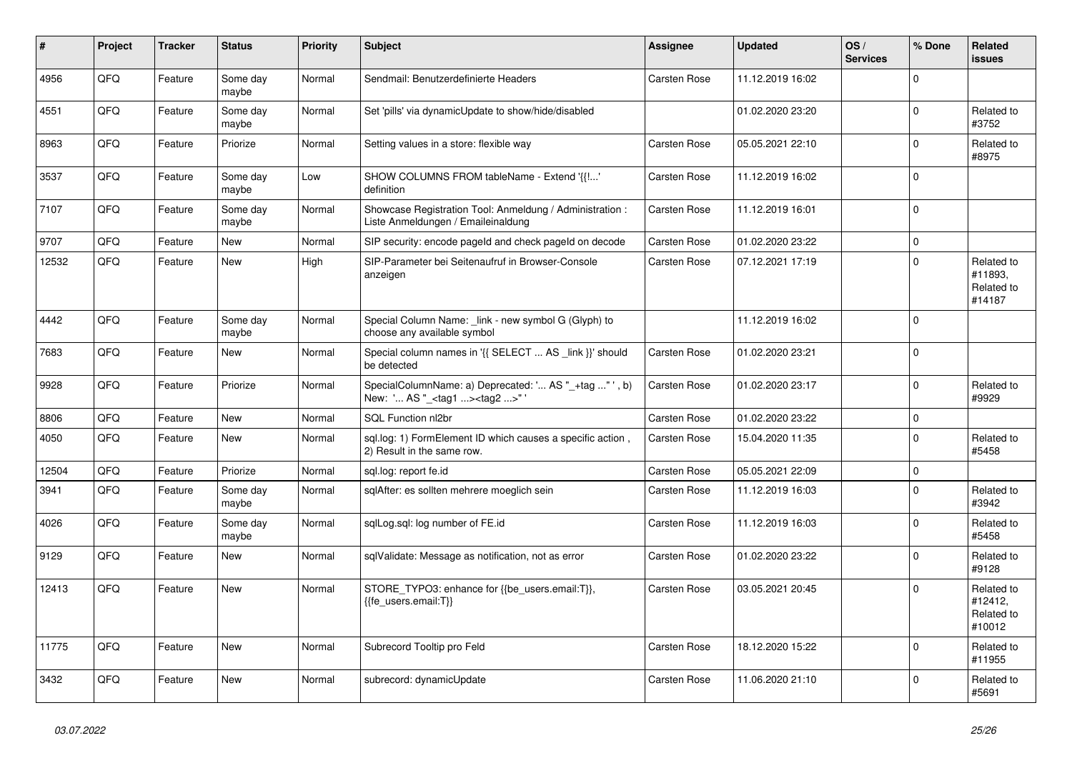| $\vert$ # | Project | <b>Tracker</b> | <b>Status</b>     | <b>Priority</b> | <b>Subject</b>                                                                                    | Assignee            | Updated          | OS/<br><b>Services</b> | % Done      | Related<br><b>issues</b>                      |
|-----------|---------|----------------|-------------------|-----------------|---------------------------------------------------------------------------------------------------|---------------------|------------------|------------------------|-------------|-----------------------------------------------|
| 4956      | QFQ     | Feature        | Some day<br>maybe | Normal          | Sendmail: Benutzerdefinierte Headers                                                              | <b>Carsten Rose</b> | 11.12.2019 16:02 |                        | $\Omega$    |                                               |
| 4551      | QFQ     | Feature        | Some day<br>maybe | Normal          | Set 'pills' via dynamicUpdate to show/hide/disabled                                               |                     | 01.02.2020 23:20 |                        | $\mathbf 0$ | Related to<br>#3752                           |
| 8963      | QFQ     | Feature        | Priorize          | Normal          | Setting values in a store: flexible way                                                           | Carsten Rose        | 05.05.2021 22:10 |                        | $\Omega$    | Related to<br>#8975                           |
| 3537      | QFQ     | Feature        | Some day<br>maybe | Low             | SHOW COLUMNS FROM tableName - Extend '{{!'<br>definition                                          | Carsten Rose        | 11.12.2019 16:02 |                        | $\Omega$    |                                               |
| 7107      | QFQ     | Feature        | Some day<br>maybe | Normal          | Showcase Registration Tool: Anmeldung / Administration :<br>Liste Anmeldungen / Emaileinaldung    | Carsten Rose        | 11.12.2019 16:01 |                        | $\mathbf 0$ |                                               |
| 9707      | QFQ     | Feature        | New               | Normal          | SIP security: encode pageld and check pageld on decode                                            | Carsten Rose        | 01.02.2020 23:22 |                        | $\mathbf 0$ |                                               |
| 12532     | QFQ     | Feature        | New               | High            | SIP-Parameter bei Seitenaufruf in Browser-Console<br>anzeigen                                     | Carsten Rose        | 07.12.2021 17:19 |                        | $\Omega$    | Related to<br>#11893.<br>Related to<br>#14187 |
| 4442      | QFQ     | Feature        | Some day<br>maybe | Normal          | Special Column Name: _link - new symbol G (Glyph) to<br>choose any available symbol               |                     | 11.12.2019 16:02 |                        | $\Omega$    |                                               |
| 7683      | QFQ     | Feature        | New               | Normal          | Special column names in '{{ SELECT  AS _link }}' should<br>be detected                            | Carsten Rose        | 01.02.2020 23:21 |                        | $\Omega$    |                                               |
| 9928      | QFQ     | Feature        | Priorize          | Normal          | SpecialColumnName: a) Deprecated: ' AS "_+tag " ', b)<br>New: ' AS "_ <tag1><tag2>"</tag2></tag1> | Carsten Rose        | 01.02.2020 23:17 |                        | $\mathbf 0$ | Related to<br>#9929                           |
| 8806      | QFQ     | Feature        | New               | Normal          | SQL Function nl2br                                                                                | Carsten Rose        | 01.02.2020 23:22 |                        | $\Omega$    |                                               |
| 4050      | QFQ     | Feature        | <b>New</b>        | Normal          | sql.log: 1) FormElement ID which causes a specific action,<br>2) Result in the same row.          | Carsten Rose        | 15.04.2020 11:35 |                        | $\Omega$    | Related to<br>#5458                           |
| 12504     | QFQ     | Feature        | Priorize          | Normal          | sgl.log: report fe.id                                                                             | Carsten Rose        | 05.05.2021 22:09 |                        | $\mathbf 0$ |                                               |
| 3941      | QFQ     | Feature        | Some day<br>maybe | Normal          | sqlAfter: es sollten mehrere moeglich sein                                                        | Carsten Rose        | 11.12.2019 16:03 |                        | $\Omega$    | Related to<br>#3942                           |
| 4026      | QFQ     | Feature        | Some day<br>maybe | Normal          | sqlLog.sql: log number of FE.id                                                                   | Carsten Rose        | 11.12.2019 16:03 |                        | $\Omega$    | Related to<br>#5458                           |
| 9129      | QFQ     | Feature        | <b>New</b>        | Normal          | sqlValidate: Message as notification, not as error                                                | Carsten Rose        | 01.02.2020 23:22 |                        | $\mathbf 0$ | Related to<br>#9128                           |
| 12413     | QFQ     | Feature        | New               | Normal          | STORE_TYPO3: enhance for {{be_users.email:T}},<br>{{fe_users.email:T}}                            | Carsten Rose        | 03.05.2021 20:45 |                        | $\Omega$    | Related to<br>#12412,<br>Related to<br>#10012 |
| 11775     | QFQ     | Feature        | New               | Normal          | Subrecord Tooltip pro Feld                                                                        | Carsten Rose        | 18.12.2020 15:22 |                        | $\mathbf 0$ | Related to<br>#11955                          |
| 3432      | QFQ     | Feature        | <b>New</b>        | Normal          | subrecord: dynamicUpdate                                                                          | Carsten Rose        | 11.06.2020 21:10 |                        | $\Omega$    | Related to<br>#5691                           |